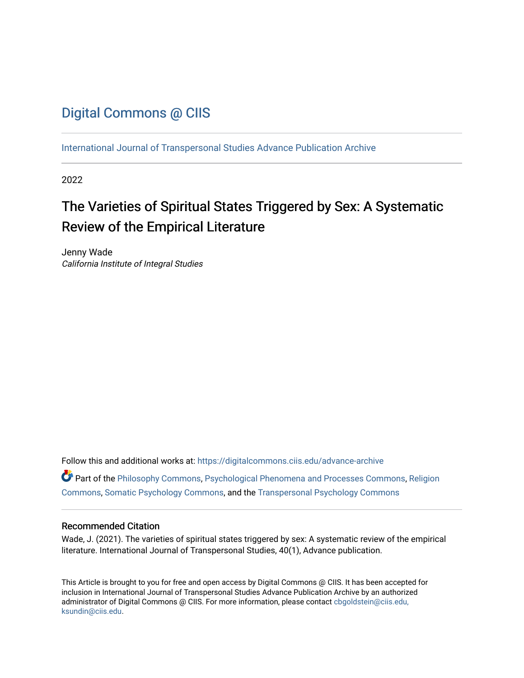# [Digital Commons @ CIIS](https://digitalcommons.ciis.edu/)

[International Journal of Transpersonal Studies Advance Publication Archive](https://digitalcommons.ciis.edu/advance-archive)

2022

# The Varieties of Spiritual States Triggered by Sex: A Systematic Review of the Empirical Literature

Jenny Wade California Institute of Integral Studies

Follow this and additional works at: [https://digitalcommons.ciis.edu/advance-archive](https://digitalcommons.ciis.edu/advance-archive?utm_source=digitalcommons.ciis.edu%2Fadvance-archive%2F38&utm_medium=PDF&utm_campaign=PDFCoverPages) Part of the [Philosophy Commons,](https://network.bepress.com/hgg/discipline/525?utm_source=digitalcommons.ciis.edu%2Fadvance-archive%2F38&utm_medium=PDF&utm_campaign=PDFCoverPages) [Psychological Phenomena and Processes Commons,](https://network.bepress.com/hgg/discipline/914?utm_source=digitalcommons.ciis.edu%2Fadvance-archive%2F38&utm_medium=PDF&utm_campaign=PDFCoverPages) [Religion](https://network.bepress.com/hgg/discipline/538?utm_source=digitalcommons.ciis.edu%2Fadvance-archive%2F38&utm_medium=PDF&utm_campaign=PDFCoverPages)  [Commons](https://network.bepress.com/hgg/discipline/538?utm_source=digitalcommons.ciis.edu%2Fadvance-archive%2F38&utm_medium=PDF&utm_campaign=PDFCoverPages), [Somatic Psychology Commons](https://network.bepress.com/hgg/discipline/1431?utm_source=digitalcommons.ciis.edu%2Fadvance-archive%2F38&utm_medium=PDF&utm_campaign=PDFCoverPages), and the [Transpersonal Psychology Commons](https://network.bepress.com/hgg/discipline/1388?utm_source=digitalcommons.ciis.edu%2Fadvance-archive%2F38&utm_medium=PDF&utm_campaign=PDFCoverPages) 

### Recommended Citation

Wade, J. (2021). The varieties of spiritual states triggered by sex: A systematic review of the empirical literature. International Journal of Transpersonal Studies, 40(1), Advance publication.

This Article is brought to you for free and open access by Digital Commons @ CIIS. It has been accepted for inclusion in International Journal of Transpersonal Studies Advance Publication Archive by an authorized administrator of Digital Commons @ CIIS. For more information, please contact [cbgoldstein@ciis.edu,](mailto:cbgoldstein@ciis.edu,%20ksundin@ciis.edu)  [ksundin@ciis.edu](mailto:cbgoldstein@ciis.edu,%20ksundin@ciis.edu).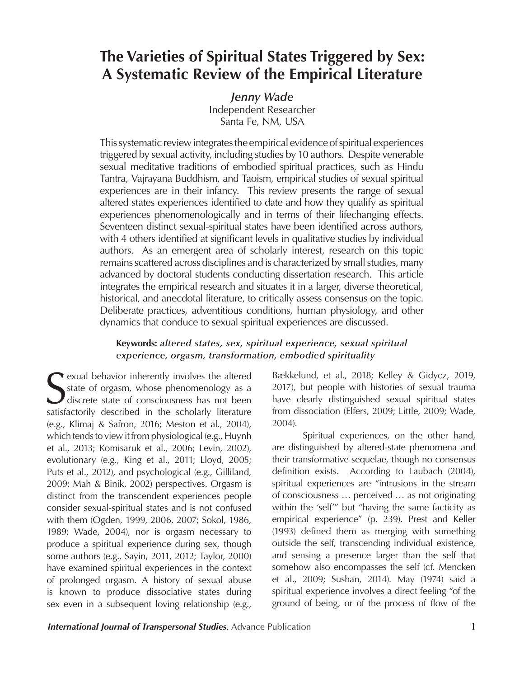# **The Varieties of Spiritual States Triggered by Sex: A Systematic Review of the Empirical Literature**

*Jenny Wade*

Independent Researcher Santa Fe, NM, USA

This systematic review integrates the empirical evidence of spiritual experiences triggered by sexual activity, including studies by 10 authors. Despite venerable sexual meditative traditions of embodied spiritual practices, such as Hindu Tantra, Vajrayana Buddhism, and Taoism, empirical studies of sexual spiritual experiences are in their infancy. This review presents the range of sexual altered states experiences identified to date and how they qualify as spiritual experiences phenomenologically and in terms of their lifechanging effects. Seventeen distinct sexual-spiritual states have been identified across authors, with 4 others identified at significant levels in qualitative studies by individual authors. As an emergent area of scholarly interest, research on this topic remains scattered across disciplines and is characterized by small studies, many advanced by doctoral students conducting dissertation research. This article integrates the empirical research and situates it in a larger, diverse theoretical, historical, and anecdotal literature, to critically assess consensus on the topic. Deliberate practices, adventitious conditions, human physiology, and other dynamics that conduce to sexual spiritual experiences are discussed.

## **Keywords:** *altered states, sex, spiritual experience, sexual spiritual experience, orgasm, transformation, embodied spirituality*

S<sub>otisf</sub> rexual behavior inherently involves the altered state of orgasm, whose phenomenology as a discrete state of consciousness has not been satisfactorily described in the scholarly literature (e.g., Klimaj & Safron, 2016; Meston et al., 2004), which tends to view it from physiological (e.g., Huynh et al., 2013; Komisaruk et al., 2006; Levin, 2002), evolutionary (e.g., King et al., 2011; Lloyd, 2005; Puts et al., 2012), and psychological (e.g., Gilliland, 2009; Mah & Binik, 2002) perspectives. Orgasm is distinct from the transcendent experiences people consider sexual-spiritual states and is not confused with them (Ogden, 1999, 2006, 2007; Sokol, 1986, 1989; Wade, 2004), nor is orgasm necessary to produce a spiritual experience during sex, though some authors (e.g., Sayin, 2011, 2012; Taylor, 2000) have examined spiritual experiences in the context of prolonged orgasm. A history of sexual abuse is known to produce dissociative states during sex even in a subsequent loving relationship (e.g.,

Bækkelund, et al., 2018; Kelley & Gidycz, 2019, 2017), but people with histories of sexual trauma have clearly distinguished sexual spiritual states from dissociation (Elfers, 2009; Little, 2009; Wade, 2004).

Spiritual experiences, on the other hand, are distinguished by altered-state phenomena and their transformative sequelae, though no consensus definition exists. According to Laubach (2004), spiritual experiences are "intrusions in the stream of consciousness … perceived … as not originating within the 'self'" but "having the same facticity as empirical experience" (p. 239). Prest and Keller (1993) defined them as merging with something outside the self, transcending individual existence, and sensing a presence larger than the self that somehow also encompasses the self (cf. Mencken et al., 2009; Sushan, 2014). May (1974) said a spiritual experience involves a direct feeling "of the ground of being, or of the process of flow of the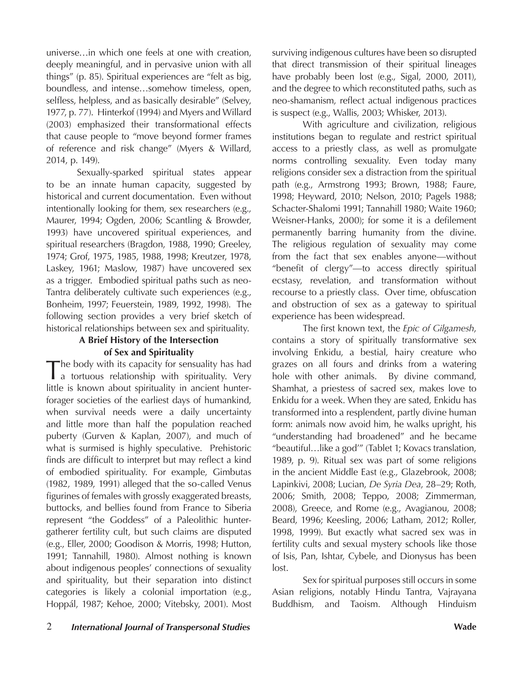universe…in which one feels at one with creation, deeply meaningful, and in pervasive union with all things" (p. 85). Spiritual experiences are "felt as big, boundless, and intense…somehow timeless, open, selfless, helpless, and as basically desirable" (Selvey, 1977, p. 77). Hinterkof (1994) and Myers and Willard (2003) emphasized their transformational effects that cause people to "move beyond former frames of reference and risk change" (Myers & Willard, 2014, p. 149).

Sexually-sparked spiritual states appear to be an innate human capacity, suggested by historical and current documentation. Even without intentionally looking for them, sex researchers (e.g., Maurer, 1994; Ogden, 2006; Scantling & Browder, 1993) have uncovered spiritual experiences, and spiritual researchers (Bragdon, 1988, 1990; Greeley, 1974; Grof, 1975, 1985, 1988, 1998; Kreutzer, 1978, Laskey, 1961; Maslow, 1987) have uncovered sex as a trigger. Embodied spiritual paths such as neo-Tantra deliberately cultivate such experiences (e.g., Bonheim, 1997; Feuerstein, 1989, 1992, 1998). The following section provides a very brief sketch of historical relationships between sex and spirituality.

## **A Brief History of the Intersection of Sex and Spirituality**

The body with its capacity for sensuality has had a tortuous relationship with spirituality. Very little is known about spirituality in ancient hunterforager societies of the earliest days of humankind, when survival needs were a daily uncertainty and little more than half the population reached puberty (Gurven & Kaplan, 2007), and much of what is surmised is highly speculative. Prehistoric finds are difficult to interpret but may reflect a kind of embodied spirituality. For example, Gimbutas (1982, 1989, 1991) alleged that the so-called Venus figurines of females with grossly exaggerated breasts, buttocks, and bellies found from France to Siberia represent "the Goddess" of a Paleolithic huntergatherer fertility cult, but such claims are disputed (e.g., Eller, 2000; Goodison & Morris, 1998; Hutton, 1991; Tannahill, 1980). Almost nothing is known about indigenous peoples' connections of sexuality and spirituality, but their separation into distinct categories is likely a colonial importation (e.g., Hoppál, 1987; Kehoe, 2000; Vitebsky, 2001). Most

surviving indigenous cultures have been so disrupted that direct transmission of their spiritual lineages have probably been lost (e.g., Sigal, 2000, 2011), and the degree to which reconstituted paths, such as neo-shamanism, reflect actual indigenous practices is suspect (e.g., Wallis, 2003; Whisker, 2013).

With agriculture and civilization, religious institutions began to regulate and restrict spiritual access to a priestly class, as well as promulgate norms controlling sexuality. Even today many religions consider sex a distraction from the spiritual path (e.g., Armstrong 1993; Brown, 1988; Faure, 1998; Heyward, 2010; Nelson, 2010; Pagels 1988; Schacter-Shalomi 1991; Tannahill 1980; Waite 1960; Weisner-Hanks, 2000); for some it is a defilement permanently barring humanity from the divine. The religious regulation of sexuality may come from the fact that sex enables anyone—without "benefit of clergy"—to access directly spiritual ecstasy, revelation, and transformation without recourse to a priestly class. Over time, obfuscation and obstruction of sex as a gateway to spiritual experience has been widespread.

The first known text, the *Epic of Gilgamesh*, contains a story of spiritually transformative sex involving Enkidu, a bestial, hairy creature who grazes on all fours and drinks from a watering hole with other animals. By divine command, Shamhat, a priestess of sacred sex, makes love to Enkidu for a week. When they are sated, Enkidu has transformed into a resplendent, partly divine human form: animals now avoid him, he walks upright, his "understanding had broadened" and he became "beautiful…like a god'" (Tablet 1; Kovacs translation, 1989, p. 9). Ritual sex was part of some religions in the ancient Middle East (e.g., Glazebrook, 2008; Lapinkivi, 2008; Lucian, *De Syria Dea*, 28–29; Roth, 2006; Smith, 2008; Teppo, 2008; Zimmerman, 2008), Greece, and Rome (e.g., Avagianou, 2008; Beard, 1996; Keesling, 2006; Latham, 2012; Roller, 1998, 1999). But exactly what sacred sex was in fertility cults and sexual mystery schools like those of Isis, Pan, Ishtar, Cybele, and Dionysus has been lost.

Sex for spiritual purposes still occurs in some Asian religions, notably Hindu Tantra, Vajrayana Buddhism, and Taoism. Although Hinduism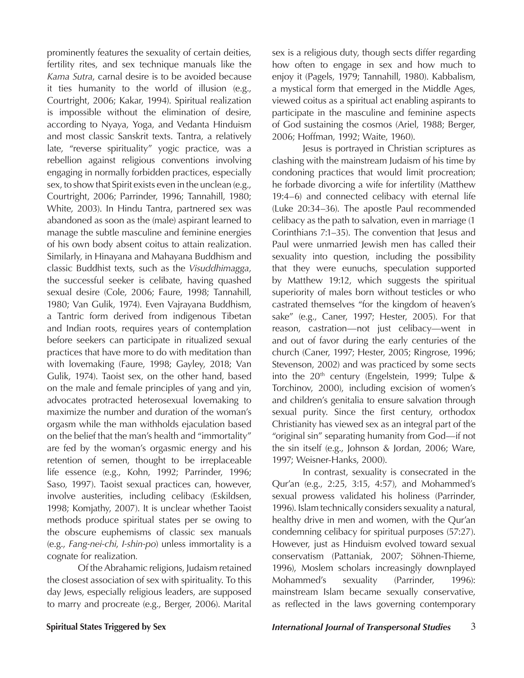prominently features the sexuality of certain deities, fertility rites, and sex technique manuals like the *Kama Sutra*, carnal desire is to be avoided because it ties humanity to the world of illusion (e.g., Courtright, 2006; Kakar, 1994). Spiritual realization is impossible without the elimination of desire, according to Nyaya, Yoga, and Vedanta Hinduism and most classic Sanskrit texts. Tantra, a relatively late, "reverse spirituality" yogic practice, was a rebellion against religious conventions involving engaging in normally forbidden practices, especially sex, to show that Spirit exists even in the unclean (e.g., Courtright, 2006; Parrinder, 1996; Tannahill, 1980; White, 2003). In Hindu Tantra, partnered sex was abandoned as soon as the (male) aspirant learned to manage the subtle masculine and feminine energies of his own body absent coitus to attain realization. Similarly, in Hinayana and Mahayana Buddhism and classic Buddhist texts, such as the *Visuddhimagga*, the successful seeker is celibate, having quashed sexual desire (Cole, 2006; Faure, 1998; Tannahill, 1980; Van Gulik, 1974). Even Vajrayana Buddhism, a Tantric form derived from indigenous Tibetan and Indian roots, requires years of contemplation before seekers can participate in ritualized sexual practices that have more to do with meditation than with lovemaking (Faure, 1998; Gayley, 2018; Van Gulik, 1974). Taoist sex, on the other hand, based on the male and female principles of yang and yin, advocates protracted heterosexual lovemaking to maximize the number and duration of the woman's orgasm while the man withholds ejaculation based on the belief that the man's health and "immortality" are fed by the woman's orgasmic energy and his retention of semen, thought to be irreplaceable life essence (e.g., Kohn, 1992; Parrinder, 1996; Saso, 1997). Taoist sexual practices can, however, involve austerities, including celibacy (Eskildsen, 1998; Komjathy, 2007). It is unclear whether Taoist methods produce spiritual states per se owing to the obscure euphemisms of classic sex manuals (e.g., *Fang-nei-chi*, *I-shin-po*) unless immortality is a cognate for realization*.*

Of the Abrahamic religions, Judaism retained the closest association of sex with spirituality. To this day Jews, especially religious leaders, are supposed to marry and procreate (e.g., Berger, 2006). Marital sex is a religious duty, though sects differ regarding how often to engage in sex and how much to enjoy it (Pagels, 1979; Tannahill, 1980). Kabbalism, a mystical form that emerged in the Middle Ages, viewed coitus as a spiritual act enabling aspirants to participate in the masculine and feminine aspects of God sustaining the cosmos (Ariel, 1988; Berger, 2006; Hoffman, 1992; Waite, 1960).

Jesus is portrayed in Christian scriptures as clashing with the mainstream Judaism of his time by condoning practices that would limit procreation; he forbade divorcing a wife for infertility (Matthew 19:4–6) and connected celibacy with eternal life (Luke 20:34–36). The apostle Paul recommended celibacy as the path to salvation, even in marriage (1 Corinthians 7:1–35). The convention that Jesus and Paul were unmarried Jewish men has called their sexuality into question, including the possibility that they were eunuchs, speculation supported by Matthew 19:12, which suggests the spiritual superiority of males born without testicles or who castrated themselves "for the kingdom of heaven's sake" (e.g., Caner, 1997; Hester, 2005). For that reason, castration—not just celibacy—went in and out of favor during the early centuries of the church (Caner, 1997; Hester, 2005; Ringrose, 1996; Stevenson, 2002) and was practiced by some sects into the  $20<sup>th</sup>$  century (Engelstein, 1999; Tulpe & Torchinov, 2000), including excision of women's and children's genitalia to ensure salvation through sexual purity. Since the first century, orthodox Christianity has viewed sex as an integral part of the "original sin" separating humanity from God—if not the sin itself (e.g., Johnson & Jordan, 2006; Ware, 1997; Weisner-Hanks, 2000).

In contrast, sexuality is consecrated in the Qur'an (e.g., 2:25, 3:15, 4:57), and Mohammed's sexual prowess validated his holiness (Parrinder, 1996). Islam technically considers sexuality a natural, healthy drive in men and women, with the Qur'an condemning celibacy for spiritual purposes (57:27). However, just as Hinduism evolved toward sexual conservatism (Pattaniak, 2007; Söhnen-Thieme, 1996), Moslem scholars increasingly downplayed Mohammed's sexuality (Parrinder, 1996): mainstream Islam became sexually conservative, as reflected in the laws governing contemporary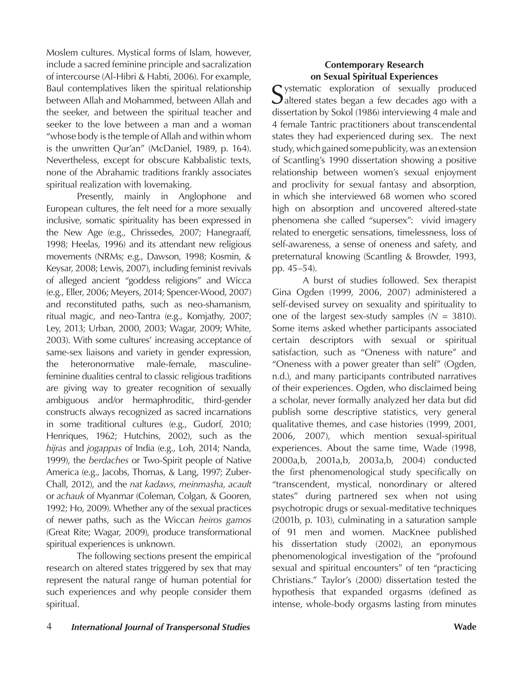Moslem cultures. Mystical forms of Islam, however, include a sacred feminine principle and sacralization of intercourse (Al-Hibri & Habti, 2006). For example, Baul contemplatives liken the spiritual relationship between Allah and Mohammed, between Allah and the seeker, and between the spiritual teacher and seeker to the love between a man and a woman "whose body is the temple of Allah and within whom is the unwritten Qur'an" (McDaniel, 1989, p. 164). Nevertheless, except for obscure Kabbalistic texts, none of the Abrahamic traditions frankly associates spiritual realization with lovemaking.

Presently, mainly in Anglophone and European cultures, the felt need for a more sexually inclusive, somatic spirituality has been expressed in the New Age (e.g., Chrissedes, 2007; Hanegraaff, 1998; Heelas, 1996) and its attendant new religious movements (NRMs; e.g., Dawson, 1998; Kosmin, & Keysar, 2008; Lewis, 2007), including feminist revivals of alleged ancient "goddess religions" and Wicca (e.g., Eller, 2006; Meyers, 2014; Spencer-Wood, 2007) and reconstituted paths, such as neo-shamanism, ritual magic, and neo-Tantra (e.g., Komjathy, 2007; Ley, 2013; Urban, 2000, 2003; Wagar, 2009; White, 2003). With some cultures' increasing acceptance of same-sex liaisons and variety in gender expression, the heteronormative male-female, masculinefeminine dualities central to classic religious traditions are giving way to greater recognition of sexually ambiguous and/or hermaphroditic, third-gender constructs always recognized as sacred incarnations in some traditional cultures (e.g., Gudorf, 2010; Henriques, 1962; Hutchins, 2002), such as the *hijras* and *jogappas* of India (e.g., Loh, 2014; Nanda, 1999), the *berdaches* or Two-Spirit people of Native America (e.g., Jacobs, Thomas, & Lang, 1997; Zuber-Chall, 2012), and the *nat kadaws*, *meinmasha*, *acault* or *achauk* of Myanmar (Coleman, Colgan, & Gooren, 1992; Ho, 2009). Whether any of the sexual practices of newer paths, such as the Wiccan *heiros gamos* (Great Rite; Wagar, 2009), produce transformational spiritual experiences is unknown.

The following sections present the empirical research on altered states triggered by sex that may represent the natural range of human potential for such experiences and why people consider them spiritual.

### **Contemporary Research on Sexual Spiritual Experiences**

 $\Gamma$  ystematic exploration of sexually produced  $\bigcup$ altered states began a few decades ago with a dissertation by Sokol (1986) interviewing 4 male and 4 female Tantric practitioners about transcendental states they had experienced during sex. The next study, which gained some publicity, was an extension of Scantling's 1990 dissertation showing a positive relationship between women's sexual enjoyment and proclivity for sexual fantasy and absorption, in which she interviewed 68 women who scored high on absorption and uncovered altered-state phenomena she called "supersex": vivid imagery related to energetic sensations, timelessness, loss of self-awareness, a sense of oneness and safety, and preternatural knowing (Scantling & Browder, 1993, pp. 45–54).

A burst of studies followed. Sex therapist Gina Ogden (1999, 2006, 2007) administered a self-devised survey on sexuality and spirituality to one of the largest sex-study samples  $(N = 3810)$ . Some items asked whether participants associated certain descriptors with sexual or spiritual satisfaction, such as "Oneness with nature" and "Oneness with a power greater than self" (Ogden, n.d.), and many participants contributed narratives of their experiences. Ogden, who disclaimed being a scholar, never formally analyzed her data but did publish some descriptive statistics, very general qualitative themes, and case histories (1999, 2001, 2006, 2007), which mention sexual-spiritual experiences. About the same time, Wade (1998, 2000a,b, 2001a,b, 2003a,b, 2004) conducted the first phenomenological study specifically on "transcendent, mystical, nonordinary or altered states" during partnered sex when not using psychotropic drugs or sexual-meditative techniques (2001b, p. 103), culminating in a saturation sample of 91 men and women. MacKnee published his dissertation study (2002), an eponymous phenomenological investigation of the "profound sexual and spiritual encounters" of ten "practicing Christians." Taylor's (2000) dissertation tested the hypothesis that expanded orgasms (defined as intense, whole-body orgasms lasting from minutes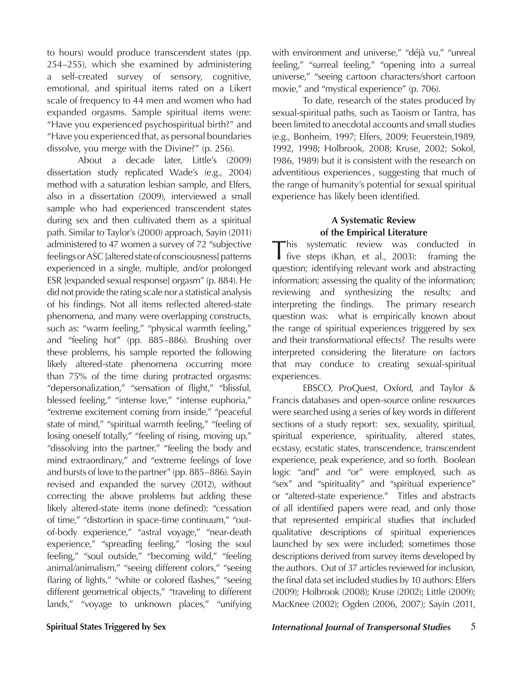to hours) would produce transcendent states (pp. 254–255), which she examined by administering a self-created survey of sensory, cognitive, emotional, and spiritual items rated on a Likert scale of frequency to 44 men and women who had expanded orgasms. Sample spiritual items were: "Have you experienced psychospiritual birth?" and "Have you experienced that, as personal boundaries dissolve, you merge with the Divine?" (p. 256).

About a decade later, Little's (2009) dissertation study replicated Wade's (e.g., 2004) method with a saturation lesbian sample, and Elfers, also in a dissertation (2009), interviewed a small sample who had experienced transcendent states during sex and then cultivated them as a spiritual path. Similar to Taylor's (2000) approach, Sayin (2011) administered to 47 women a survey of 72 "subjective feelings or ASC [altered state of consciousness] patterns experienced in a single, multiple, and/or prolonged ESR [expanded sexual response] orgasm" (p. 884). He did not provide the rating scale nor a statistical analysis of his findings. Not all items reflected altered-state phenomena, and many were overlapping constructs, such as: "warm feeling," "physical warmth feeling," and "feeling hot" (pp. 885–886). Brushing over these problems, his sample reported the following likely altered-state phenomena occurring more than 75% of the time during protracted orgasms: "depersonalization," "sensation of flight," "blissful, blessed feeling," "intense love," "intense euphoria," "extreme excitement coming from inside," "peaceful state of mind," "spiritual warmth feeling," "feeling of losing oneself totally," "feeling of rising, moving up," "dissolving into the partner," "feeling the body and mind extraordinary," and "extreme feelings of love and bursts of love to the partner" (pp. 885–886). Sayin revised and expanded the survey (2012), without correcting the above problems but adding these likely altered-state items (none defined): "cessation of time," "distortion in space-time continuum," "outof-body experience," "astral voyage," "near-death experience," "spreading feeling," "losing the soul feeling," "soul outside," "becoming wild," "feeling animal/animalism," "seeing different colors," "seeing flaring of lights," "white or colored flashes," "seeing different geometrical objects," "traveling to different lands," "voyage to unknown places," "unifying

with environment and universe," "déjà vu," "unreal feeling," "surreal feeling," "opening into a surreal universe," "seeing cartoon characters/short cartoon movie," and "mystical experience" (p. 706).

To date, research of the states produced by sexual-spiritual paths, such as Taoism or Tantra, has been limited to anecdotal accounts and small studies (e.g., Bonheim, 1997; Elfers, 2009; Feuerstein,1989, 1992, 1998; Holbrook, 2008; Kruse, 2002; Sokol, 1986, 1989) but it is consistent with the research on adventitious experiences , suggesting that much of the range of humanity's potential for sexual spiritual experience has likely been identified.

# **A Systematic Review of the Empirical Literature**

This systematic review was conducted in five steps (Khan, et al., 2003): framing the question; identifying relevant work and abstracting information; assessing the quality of the information; reviewing and synthesizing the results; and interpreting the findings. The primary research question was: what is empirically known about the range of spiritual experiences triggered by sex and their transformational effects? The results were interpreted considering the literature on factors that may conduce to creating sexual-spiritual experiences.

EBSCO, ProQuest, Oxford, and Taylor & Francis databases and open-source online resources were searched using a series of key words in different sections of a study report: sex, sexuality, spiritual, spiritual experience, spirituality, altered states, ecstasy, ecstatic states, transcendence, transcendent experience, peak experience, and so forth. Boolean logic "and" and "or" were employed, such as "sex" and "spirituality" and "spiritual experience" or "altered-state experience." Titles and abstracts of all identified papers were read, and only those that represented empirical studies that included qualitative descriptions of spiritual experiences launched by sex were included; sometimes those descriptions derived from survey items developed by the authors. Out of 37 articles reviewed for inclusion, the final data set included studies by 10 authors: Elfers (2009); Holbrook (2008); Kruse (2002); Little (2009); MacKnee (2002); Ogden (2006, 2007); Sayin (2011,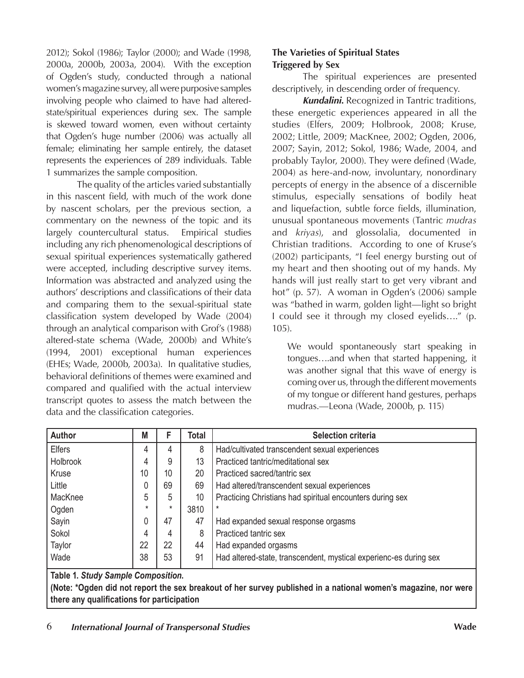2012); Sokol (1986); Taylor (2000); and Wade (1998, 2000a, 2000b, 2003a, 2004). With the exception of Ogden's study, conducted through a national women's magazine survey, all were purposive samples involving people who claimed to have had alteredstate/spiritual experiences during sex. The sample is skewed toward women, even without certainty that Ogden's huge number (2006) was actually all female; eliminating her sample entirely, the dataset represents the experiences of 289 individuals. Table 1 summarizes the sample composition.

The quality of the articles varied substantially in this nascent field, with much of the work done by nascent scholars, per the previous section, a commentary on the newness of the topic and its largely countercultural status. Empirical studies including any rich phenomenological descriptions of sexual spiritual experiences systematically gathered were accepted, including descriptive survey items. Information was abstracted and analyzed using the authors' descriptions and classifications of their data and comparing them to the sexual-spiritual state classification system developed by Wade (2004) through an analytical comparison with Grof's (1988) altered-state schema (Wade, 2000b) and White's (1994, 2001) exceptional human experiences (EHEs; Wade, 2000b, 2003a). In qualitative studies, behavioral definitions of themes were examined and compared and qualified with the actual interview transcript quotes to assess the match between the data and the classification categories.

## **The Varieties of Spiritual States Triggered by Sex**

The spiritual experiences are presented descriptively, in descending order of frequency.

*Kundalini.* Recognized in Tantric traditions, these energetic experiences appeared in all the studies (Elfers, 2009; Holbrook, 2008; Kruse, 2002; Little, 2009; MacKnee, 2002; Ogden, 2006, 2007; Sayin, 2012; Sokol, 1986; Wade, 2004, and probably Taylor, 2000). They were defined (Wade, 2004) as here-and-now, involuntary, nonordinary percepts of energy in the absence of a discernible stimulus, especially sensations of bodily heat and liquefaction, subtle force fields, illumination, unusual spontaneous movements (Tantric *mudras* and *kriyas*), and glossolalia, documented in Christian traditions. According to one of Kruse's (2002) participants, "I feel energy bursting out of my heart and then shooting out of my hands. My hands will just really start to get very vibrant and hot" (p. 57). A woman in Ogden's (2006) sample was "bathed in warm, golden light—light so bright I could see it through my closed eyelids…." (p. 105).

We would spontaneously start speaking in tongues….and when that started happening, it was another signal that this wave of energy is coming over us, through the different movements of my tongue or different hand gestures, perhaps mudras.—Leona (Wade, 2000b, p. 115)

| <b>Author</b>                                                                        | M       |          | Total | <b>Selection criteria</b>                                         |
|--------------------------------------------------------------------------------------|---------|----------|-------|-------------------------------------------------------------------|
| <b>Elfers</b>                                                                        | 4       | 4        | 8     | Had/cultivated transcendent sexual experiences                    |
| Holbrook                                                                             | 4       | 9        | 13    | Practiced tantric/meditational sex                                |
| Kruse                                                                                | 10      | 10       | 20    | Practiced sacred/tantric sex                                      |
| Little                                                                               | 0       | 69       | 69    | Had altered/transcendent sexual experiences                       |
| MacKnee                                                                              | 5       | 5        | 10    | Practicing Christians had spiritual encounters during sex         |
| Ogden                                                                                | $\star$ | $^\star$ | 3810  |                                                                   |
| Sayin                                                                                | 0       | 47       | 47    | Had expanded sexual response orgasms                              |
| Sokol                                                                                | 4       | 4        | 8     | Practiced tantric sex                                             |
| Taylor                                                                               | 22      | 22       | 44    | Had expanded orgasms                                              |
| Wade                                                                                 | 38      | 53       | 91    | Had altered-state, transcendent, mystical experienc-es during sex |
| $T_{\rm eff}$ . A control of $\Delta t$ and $\Delta t$ and $\Delta t$ and $\Delta t$ |         |          |       |                                                                   |

**Table 1.** *Study Sample Composition***.** 

**(Note: \*Ogden did not report the sex breakout of her survey published in a national women's magazine, nor were there any qualifications for participation**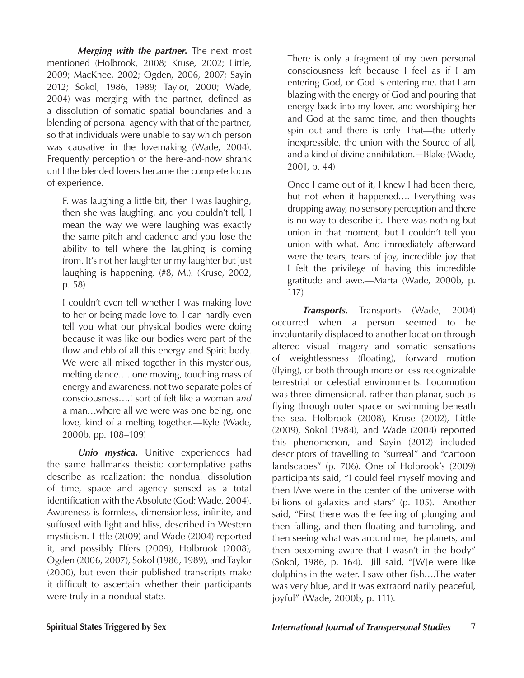*Merging with the partner.* The next most mentioned (Holbrook, 2008; Kruse, 2002; Little, 2009; MacKnee, 2002; Ogden, 2006, 2007; Sayin 2012; Sokol, 1986, 1989; Taylor, 2000; Wade, 2004) was merging with the partner, defined as a dissolution of somatic spatial boundaries and a blending of personal agency with that of the partner, so that individuals were unable to say which person was causative in the lovemaking (Wade, 2004). Frequently perception of the here-and-now shrank until the blended lovers became the complete locus of experience.

F. was laughing a little bit, then I was laughing, then she was laughing, and you couldn't tell, I mean the way we were laughing was exactly the same pitch and cadence and you lose the ability to tell where the laughing is coming from. It's not her laughter or my laughter but just laughing is happening. (#8, M.). (Kruse, 2002, p. 58)

I couldn't even tell whether I was making love to her or being made love to. I can hardly even tell you what our physical bodies were doing because it was like our bodies were part of the flow and ebb of all this energy and Spirit body. We were all mixed together in this mysterious, melting dance…. one moving, touching mass of energy and awareness, not two separate poles of consciousness….I sort of felt like a woman *and* a man…where all we were was one being, one love, kind of a melting together.—Kyle (Wade, 2000b, pp. 108–109)

*Unio mystica.* Unitive experiences had the same hallmarks theistic contemplative paths describe as realization: the nondual dissolution of time, space and agency sensed as a total identification with the Absolute (God; Wade, 2004). Awareness is formless, dimensionless, infinite, and suffused with light and bliss, described in Western mysticism. Little (2009) and Wade (2004) reported it, and possibly Elfers (2009), Holbrook (2008), Ogden (2006, 2007), Sokol (1986, 1989), and Taylor (2000), but even their published transcripts make it difficult to ascertain whether their participants were truly in a nondual state.

There is only a fragment of my own personal consciousness left because I feel as if I am entering God, or God is entering me, that I am blazing with the energy of God and pouring that energy back into my lover, and worshiping her and God at the same time, and then thoughts spin out and there is only That—the utterly inexpressible, the union with the Source of all, and a kind of divine annihilation.*—*Blake (Wade, 2001, p. 44)

Once I came out of it, I knew I had been there, but not when it happened…. Everything was dropping away, no sensory perception and there is no way to describe it. There was nothing but union in that moment, but I couldn't tell you union with what. And immediately afterward were the tears, tears of joy, incredible joy that I felt the privilege of having this incredible gratitude and awe.—Marta (Wade, 2000b, p. 117)

**Transports.** Transports (Wade, 2004) occurred when a person seemed to be involuntarily displaced to another location through altered visual imagery and somatic sensations of weightlessness (floating), forward motion (flying), or both through more or less recognizable terrestrial or celestial environments. Locomotion was three-dimensional, rather than planar, such as flying through outer space or swimming beneath the sea. Holbrook (2008), Kruse (2002), Little (2009), Sokol (1984), and Wade (2004) reported this phenomenon, and Sayin (2012) included descriptors of travelling to "surreal" and "cartoon landscapes" (p. 706). One of Holbrook's (2009) participants said, "I could feel myself moving and then I/we were in the center of the universe with billions of galaxies and stars" (p. 105). Another said, "First there was the feeling of plunging and then falling, and then floating and tumbling, and then seeing what was around me, the planets, and then becoming aware that I wasn't in the body" (Sokol, 1986, p. 164). Jill said, "[W]e were like dolphins in the water. I saw other fish….The water was very blue, and it was extraordinarily peaceful, joyful" (Wade, 2000b, p. 111).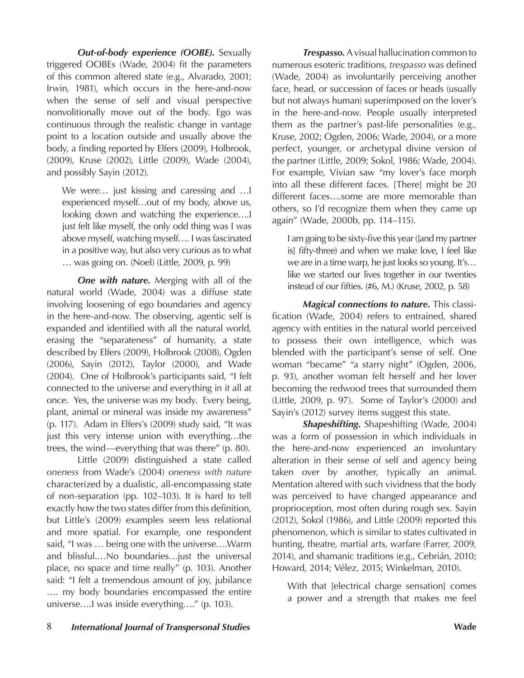*Out-of-body experience (OOBE).* Sexually triggered OOBEs (Wade, 2004) fit the parameters of this common altered state (e.g., Alvarado, 2001; Irwin, 1981), which occurs in the here-and-now when the sense of self and visual perspective nonvolitionally move out of the body. Ego was continuous through the realistic change in vantage point to a location outside and usually above the body, a finding reported by Elfers (2009), Holbrook, (2009), Kruse (2002), Little (2009), Wade (2004), and possibly Sayin (2012).

We were… just kissing and caressing and …I experienced myself…out of my body, above us, looking down and watching the experience….I just felt like myself, the only odd thing was I was above myself, watching myself…. I was fascinated in a positive way, but also very curious as to what … was going on. (Noel) (Little, 2009, p. 99)

*One with nature.* Merging with all of the natural world (Wade, 2004) was a diffuse state involving loosening of ego boundaries and agency in the here-and-now. The observing, agentic self is expanded and identified with all the natural world, erasing the "separateness" of humanity, a state described by Elfers (2009), Holbrook (2008), Ogden (2006), Sayin (2012), Taylor (2000), and Wade (2004). One of Holbrook's participants said, "I felt connected to the universe and everything in it all at once. Yes, the universe was my body. Every being, plant, animal or mineral was inside my awareness" (p. 117). Adam in Elfers's (2009) study said, "It was just this very intense union with everything…the trees, the wind—everything that was there" (p. 80).

Little (2009) distinguished a state called *oneness* from Wade's (2004) *oneness with nature* characterized by a dualistic, all-encompassing state of non-separation (pp. 102–103). It is hard to tell exactly how the two states differ from this definition, but Little's (2009) examples seem less relational and more spatial. For example, one respondent said, "I was … being one with the universe….Warm and blissful.…No boundaries…just the universal place, no space and time really" (p. 103). Another said: "I felt a tremendous amount of joy, jubilance …. my body boundaries encompassed the entire universe….I was inside everything…." (p. 103).

*Trespasso.* A visual hallucination common to numerous esoteric traditions, *trespasso* was defined (Wade, 2004) as involuntarily perceiving another face, head, or succession of faces or heads (usually but not always human) superimposed on the lover's in the here-and-now. People usually interpreted them as the partner's past-life personalities (e.g., Kruse, 2002; Ogden, 2006; Wade, 2004), or a more perfect, younger, or archetypal divine version of the partner (Little, 2009; Sokol, 1986; Wade, 2004). For example, Vivian saw "my lover's face morph into all these different faces. [There] might be 20 different faces….some are more memorable than others, so I'd recognize them when they came up again" (Wade, 2000b, pp. 114–115).

I am going to be sixty-five this year ([and my partner is] fifty-three) and when we make love, I feel like we are in a time warp, he just looks so young. It's… like we started our lives together in our twenties instead of our fifties. (#6, M.) (Kruse, 2002, p. 58)

*Magical connections to nature.* This classification (Wade, 2004) refers to entrained, shared agency with entities in the natural world perceived to possess their own intelligence, which was blended with the participant's sense of self. One woman "became" "a starry night" (Ogden, 2006, p. 93), another woman felt herself and her lover becoming the redwood trees that surrounded them (Little, 2009, p. 97). Some of Taylor's (2000) and Sayin's (2012) survey items suggest this state.

*Shapeshifting.* Shapeshifting (Wade, 2004) was a form of possession in which individuals in the here-and-now experienced an involuntary alteration in their sense of self and agency being taken over by another, typically an animal. Mentation altered with such vividness that the body was perceived to have changed appearance and proprioception, most often during rough sex. Sayin (2012), Sokol (1986), and Little (2009) reported this phenomenon, which is similar to states cultivated in hunting, theatre, martial arts, warfare (Farrer, 2009, 2014), and shamanic traditions (e.g., Cebrián, 2010; Howard, 2014; Vélez, 2015; Winkelman, 2010).

With that [electrical charge sensation] comes a power and a strength that makes me feel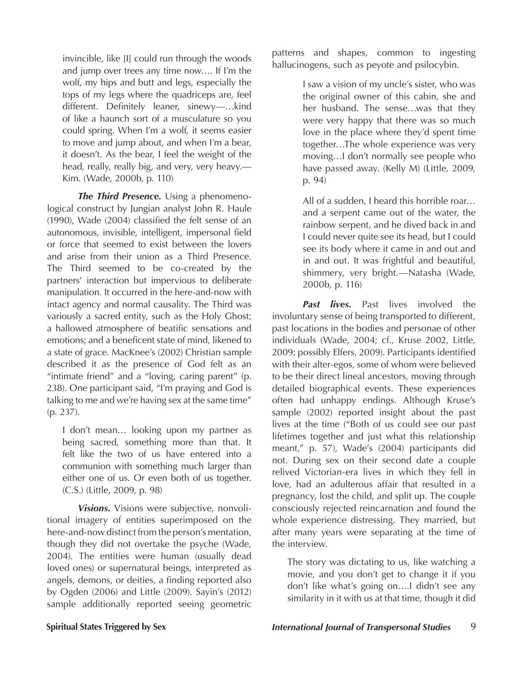invincible, like [I] could run through the woods and jump over trees any time now…. If I'm the wolf, my hips and butt and legs, especially the tops of my legs where the quadriceps are, feel different. Definitely leaner, sinewy—…kind of like a haunch sort of a musculature so you could spring. When I'm a wolf, it seems easier to move and jump about, and when I'm a bear, it doesn't. As the bear, I feel the weight of the head, really, really big, and very, very heavy.— Kim. (Wade, 2000b, p. 110)

*The Third Presence.* Using a phenomenological construct by Jungian analyst John R. Haule (1990), Wade (2004) classified the felt sense of an autonomous, invisible, intelligent, impersonal field or force that seemed to exist between the lovers and arise from their union as a Third Presence. The Third seemed to be co-created by the partners' interaction but impervious to deliberate manipulation. It occurred in the here-and-now with intact agency and normal causality. The Third was variously a sacred entity, such as the Holy Ghost; a hallowed atmosphere of beatific sensations and emotions; and a beneficent state of mind, likened to a state of grace. MacKnee's (2002) Christian sample described it as the presence of God felt as an "intimate friend" and a "loving, caring parent" (p. 238). One participant said, "I'm praying and God is talking to me and we're having sex at the same time" (p. 237).

I don't mean… looking upon my partner as being sacred, something more than that. It felt like the two of us have entered into a communion with something much larger than either one of us. Or even both of us together. (C.S.) (Little, 2009, p. 98)

*Visions.* Visions were subjective, nonvolitional imagery of entities superimposed on the here-and-now distinct from the person's mentation, though they did not overtake the psyche (Wade, 2004). The entities were human (usually dead loved ones) or supernatural beings, interpreted as angels, demons, or deities, a finding reported also by Ogden (2006) and Little (2009). Sayin's (2012) sample additionally reported seeing geometric

patterns and shapes, common to ingesting hallucinogens, such as peyote and psilocybin.

> I saw a vision of my uncle's sister, who was the original owner of this cabin, she and her husband. The sense…was that they were very happy that there was so much love in the place where they'd spent time together…The whole experience was very moving…I don't normally see people who have passed away. (Kelly M) (Little, 2009, p. 94)

> All of a sudden, I heard this horrible roar… and a serpent came out of the water, the rainbow serpent, and he dived back in and I could never quite see its head, but I could see its body where it came in and out and in and out. It was frightful and beautiful, shimmery, very bright.—Natasha (Wade, 2000b, p. 116)

*Past lives.* Past lives involved the involuntary sense of being transported to different, past locations in the bodies and personae of other individuals (Wade, 2004; cf., Kruse 2002, Little, 2009; possibly Elfers, 2009). Participants identified with their alter-egos, some of whom were believed to be their direct lineal ancestors, moving through detailed biographical events. These experiences often had unhappy endings. Although Kruse's sample (2002) reported insight about the past lives at the time ("Both of us could see our past lifetimes together and just what this relationship meant," p. 57), Wade's (2004) participants did not. During sex on their second date a couple relived Victorian-era lives in which they fell in love, had an adulterous affair that resulted in a pregnancy, lost the child, and split up. The couple consciously rejected reincarnation and found the whole experience distressing. They married, but after many years were separating at the time of the interview.

The story was dictating to us, like watching a movie, and you don't get to change it if you don't like what's going on….I didn't see any similarity in it with us at that time, though it did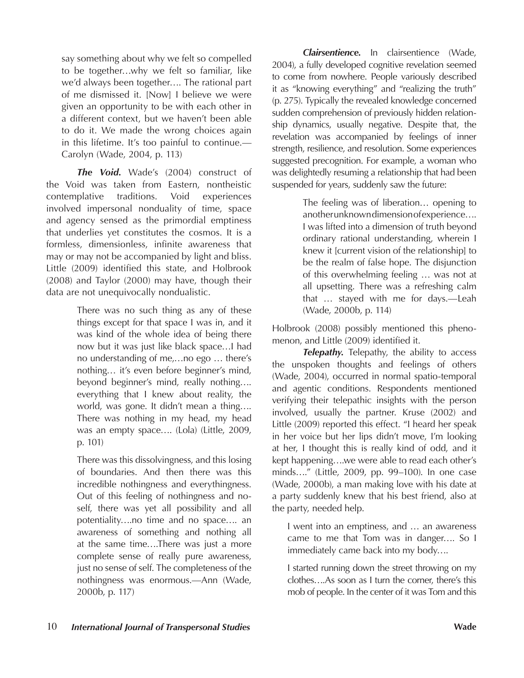say something about why we felt so compelled to be together…why we felt so familiar, like we'd always been together…. The rational part of me dismissed it. [Now] I believe we were given an opportunity to be with each other in a different context, but we haven't been able to do it. We made the wrong choices again in this lifetime. It's too painful to continue.— Carolyn (Wade, 2004, p. 113)

*The Void.* Wade's (2004) construct of the Void was taken from Eastern, nontheistic contemplative traditions. Void experiences involved impersonal nonduality of time, space and agency sensed as the primordial emptiness that underlies yet constitutes the cosmos. It is a formless, dimensionless, infinite awareness that may or may not be accompanied by light and bliss. Little (2009) identified this state, and Holbrook (2008) and Taylor (2000) may have, though their data are not unequivocally nondualistic.

> There was no such thing as any of these things except for that space I was in, and it was kind of the whole idea of being there now but it was just like black space…I had no understanding of me,…no ego … there's nothing… it's even before beginner's mind, beyond beginner's mind, really nothing…. everything that I knew about reality, the world, was gone. It didn't mean a thing…. There was nothing in my head, my head was an empty space.... (Lola) (Little, 2009, p. 101)

> There was this dissolvingness, and this losing of boundaries. And then there was this incredible nothingness and everythingness. Out of this feeling of nothingness and noself, there was yet all possibility and all potentiality….no time and no space…. an awareness of something and nothing all at the same time….There was just a more complete sense of really pure awareness, just no sense of self. The completeness of the nothingness was enormous.—Ann (Wade, 2000b, p. 117)

*Clairsentience.* In clairsentience (Wade, 2004), a fully developed cognitive revelation seemed to come from nowhere. People variously described it as "knowing everything" and "realizing the truth" (p. 275). Typically the revealed knowledge concerned sudden comprehension of previously hidden relationship dynamics, usually negative. Despite that, the revelation was accompanied by feelings of inner strength, resilience, and resolution. Some experiences suggested precognition. For example, a woman who was delightedly resuming a relationship that had been suspended for years, suddenly saw the future:

> The feeling was of liberation… opening to another unknown dimension of experience…. I was lifted into a dimension of truth beyond ordinary rational understanding, wherein I knew it [current vision of the relationship] to be the realm of false hope. The disjunction of this overwhelming feeling … was not at all upsetting. There was a refreshing calm that … stayed with me for days.—Leah (Wade, 2000b, p. 114)

Holbrook (2008) possibly mentioned this phenomenon, and Little (2009) identified it.

**Telepathy.** Telepathy, the ability to access the unspoken thoughts and feelings of others (Wade, 2004), occurred in normal spatio-temporal and agentic conditions. Respondents mentioned verifying their telepathic insights with the person involved, usually the partner. Kruse (2002) and Little (2009) reported this effect. "I heard her speak in her voice but her lips didn't move, I'm looking at her, I thought this is really kind of odd, and it kept happening….we were able to read each other's minds…." (Little, 2009, pp. 99–100). In one case (Wade, 2000b), a man making love with his date at a party suddenly knew that his best friend, also at the party, needed help.

I went into an emptiness, and … an awareness came to me that Tom was in danger…. So I immediately came back into my body….

I started running down the street throwing on my clothes….As soon as I turn the corner, there's this mob of people. In the center of it was Tom and this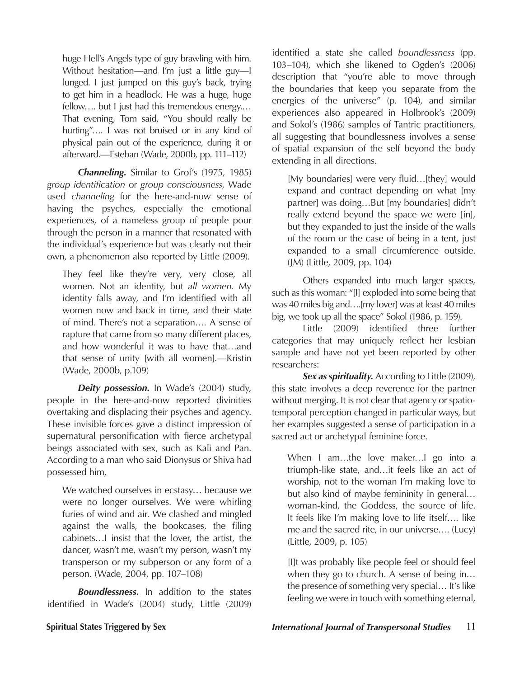huge Hell's Angels type of guy brawling with him. Without hesitation—and I'm just a little guy—I lunged. I just jumped on this guy's back, trying to get him in a headlock. He was a huge, huge fellow.... but I just had this tremendous energy.... That evening, Tom said, "You should really be hurting"…. I was not bruised or in any kind of physical pain out of the experience, during it or afterward.—Esteban (Wade, 2000b, pp. 111–112)

*Channeling.* Similar to Grof's (1975, 1985) *group identification* or *group consciousness*, Wade used *channeling* for the here-and-now sense of having the psyches, especially the emotional experiences, of a nameless group of people pour through the person in a manner that resonated with the individual's experience but was clearly not their own, a phenomenon also reported by Little (2009).

They feel like they're very, very close, all women. Not an identity, but *all women*. My identity falls away, and I'm identified with all women now and back in time, and their state of mind. There's not a separation…. A sense of rapture that came from so many different places, and how wonderful it was to have that…and that sense of unity [with all women].—Kristin (Wade, 2000b, p.109)

**Deity possession.** In Wade's (2004) study, people in the here-and-now reported divinities overtaking and displacing their psyches and agency. These invisible forces gave a distinct impression of supernatural personification with fierce archetypal beings associated with sex, such as Kali and Pan. According to a man who said Dionysus or Shiva had possessed him,

We watched ourselves in ecstasy… because we were no longer ourselves. We were whirling furies of wind and air. We clashed and mingled against the walls, the bookcases, the filing cabinets…I insist that the lover, the artist, the dancer, wasn't me, wasn't my person, wasn't my transperson or my subperson or any form of a person. (Wade, 2004, pp. 107–108)

*Boundlessness.* In addition to the states identified in Wade's (2004) study, Little (2009) identified a state she called *boundlessness* (pp. 103–104), which she likened to Ogden's (2006) description that "you're able to move through the boundaries that keep you separate from the energies of the universe" (p. 104), and similar experiences also appeared in Holbrook's (2009) and Sokol's (1986) samples of Tantric practitioners, all suggesting that boundlessness involves a sense of spatial expansion of the self beyond the body extending in all directions.

[My boundaries] were very fluid…[they] would expand and contract depending on what [my partner] was doing…But [my boundaries] didn't really extend beyond the space we were [in], but they expanded to just the inside of the walls of the room or the case of being in a tent, just expanded to a small circumference outside. (JM) (Little, 2009, pp. 104)

Others expanded into much larger spaces, such as this woman: "[I] exploded into some being that was 40 miles big and….[my lover] was at least 40 miles big, we took up all the space" Sokol (1986, p. 159).

Little (2009) identified three further categories that may uniquely reflect her lesbian sample and have not yet been reported by other researchers:

*Sex as spirituality.* According to Little (2009), this state involves a deep reverence for the partner without merging. It is not clear that agency or spatiotemporal perception changed in particular ways, but her examples suggested a sense of participation in a sacred act or archetypal feminine force.

When I am...the love maker...I go into a triumph-like state, and…it feels like an act of worship, not to the woman I'm making love to but also kind of maybe femininity in general… woman-kind, the Goddess, the source of life. It feels like I'm making love to life itself…. like me and the sacred rite, in our universe…. (Lucy) (Little, 2009, p. 105)

[I]t was probably like people feel or should feel when they go to church. A sense of being in… the presence of something very special… It's like feeling we were in touch with something eternal,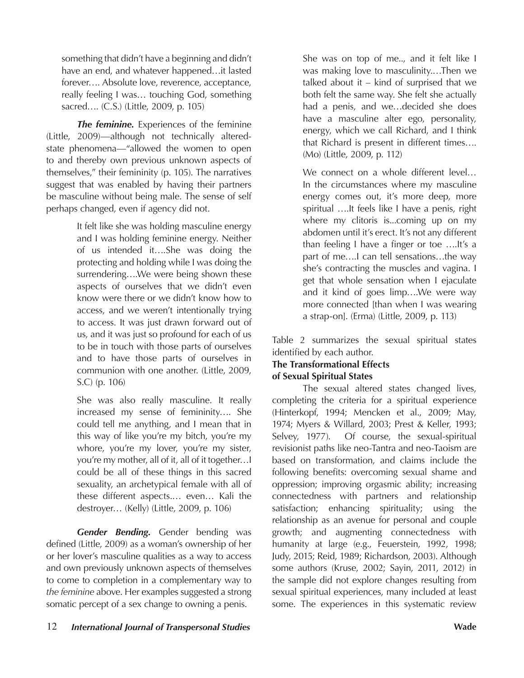something that didn't have a beginning and didn't have an end, and whatever happened…it lasted forever…. Absolute love, reverence, acceptance, really feeling I was… touching God, something sacred…. (C.S.) (Little, 2009, p. 105)

*The feminine.* Experiences of the feminine (Little, 2009)—although not technically alteredstate phenomena—"allowed the women to open to and thereby own previous unknown aspects of themselves," their femininity (p. 105). The narratives suggest that was enabled by having their partners be masculine without being male. The sense of self perhaps changed, even if agency did not.

> It felt like she was holding masculine energy and I was holding feminine energy. Neither of us intended it….She was doing the protecting and holding while I was doing the surrendering….We were being shown these aspects of ourselves that we didn't even know were there or we didn't know how to access, and we weren't intentionally trying to access. It was just drawn forward out of us, and it was just so profound for each of us to be in touch with those parts of ourselves and to have those parts of ourselves in communion with one another. (Little, 2009, S.C) (p. 106)

> She was also really masculine. It really increased my sense of femininity…. She could tell me anything, and I mean that in this way of like you're my bitch, you're my whore, you're my lover, you're my sister, you're my mother, all of it, all of it together…I could be all of these things in this sacred sexuality, an archetypical female with all of these different aspects.… even… Kali the destroyer… (Kelly) (Little, 2009, p. 106)

*Gender Bending.* Gender bending was defined (Little, 2009) as a woman's ownership of her or her lover's masculine qualities as a way to access and own previously unknown aspects of themselves to come to completion in a complementary way to *the feminine* above. Her examples suggested a strong somatic percept of a sex change to owning a penis.

She was on top of me.., and it felt like I was making love to masculinity.…Then we talked about it  $-$  kind of surprised that we both felt the same way. She felt she actually had a penis, and we…decided she does have a masculine alter ego, personality, energy, which we call Richard, and I think that Richard is present in different times…. (Mo) (Little, 2009, p. 112)

We connect on a whole different level… In the circumstances where my masculine energy comes out, it's more deep, more spiritual ….It feels like I have a penis, right where my clitoris is...coming up on my abdomen until it's erect. It's not any different than feeling I have a finger or toe ….It's a part of me….I can tell sensations…the way she's contracting the muscles and vagina. I get that whole sensation when I ejaculate and it kind of goes limp….We were way more connected [than when I was wearing a strap-on]. (Erma) (Little, 2009, p. 113)

Table 2 summarizes the sexual spiritual states identified by each author.

# **The Transformational Effects**

# **of Sexual Spiritual States**

The sexual altered states changed lives, completing the criteria for a spiritual experience (Hinterkopf, 1994; Mencken et al., 2009; May, 1974; Myers & Willard, 2003; Prest & Keller, 1993; Selvey, 1977). Of course, the sexual-spiritual revisionist paths like neo-Tantra and neo-Taoism are based on transformation, and claims include the following benefits: overcoming sexual shame and oppression; improving orgasmic ability; increasing connectedness with partners and relationship satisfaction; enhancing spirituality; using the relationship as an avenue for personal and couple growth; and augmenting connectedness with humanity at large (e.g., Feuerstein, 1992, 1998; Judy, 2015; Reid, 1989; Richardson, 2003). Although some authors (Kruse, 2002; Sayin, 2011, 2012) in the sample did not explore changes resulting from sexual spiritual experiences, many included at least some. The experiences in this systematic review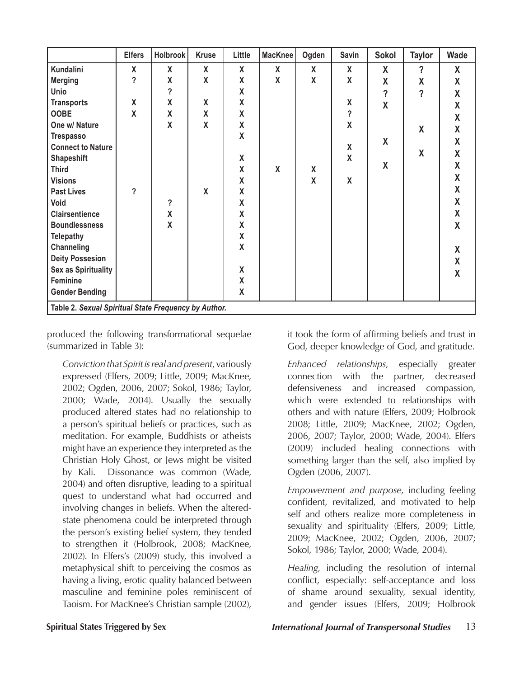|                                                      | <b>Elfers</b> | Holbrook                 | <b>Kruse</b>              | Little             | MacKnee            | Ogden              | Savin                    | Sokol                   | Taylor                   | Wade                    |
|------------------------------------------------------|---------------|--------------------------|---------------------------|--------------------|--------------------|--------------------|--------------------------|-------------------------|--------------------------|-------------------------|
| Kundalini                                            | X             | $\mathsf{x}$             | $\mathsf{x}$              | $\mathsf{X}$       | X                  | X                  | X                        | X                       | $\overline{\phantom{a}}$ | X                       |
| <b>Merging</b>                                       | ?             | X                        | X                         | X                  | $\pmb{\mathsf{X}}$ | $\boldsymbol{X}$   | X                        | X                       | χ                        | X                       |
| <b>Unio</b>                                          |               | $\overline{\phantom{a}}$ |                           | $\pmb{\mathsf{X}}$ |                    |                    |                          | $\overline{\mathbf{?}}$ | $\overline{?}$           | X                       |
| <b>Transports</b>                                    | X             | $\pmb{\mathsf{X}}$       | X                         | $\pmb{\mathsf{X}}$ |                    |                    | $\pmb{\mathsf{X}}$       | $\overline{\mathsf{X}}$ |                          | X                       |
| <b>OOBE</b>                                          | X             | X                        | X                         | $\pmb{\mathsf{X}}$ |                    |                    | $\overline{\phantom{a}}$ |                         |                          | X                       |
| One w/ Nature                                        |               | $\mathsf{X}$             | $\mathsf{X}$              | $\pmb{\mathsf{X}}$ |                    |                    | $\pmb{\mathsf{X}}$       |                         | X                        | X                       |
| <b>Trespasso</b>                                     |               |                          |                           | $\pmb{\mathsf{X}}$ |                    |                    |                          | X                       |                          | X                       |
| <b>Connect to Nature</b>                             |               |                          |                           |                    |                    |                    | X                        |                         | X                        | X                       |
| <b>Shapeshift</b>                                    |               |                          |                           | $\pmb{\mathsf{X}}$ |                    |                    | X                        | X                       |                          | X                       |
| <b>Third</b>                                         |               |                          |                           | $\pmb{\mathsf{X}}$ | $\pmb{\mathsf{X}}$ | $\pmb{\mathsf{X}}$ |                          |                         |                          | X                       |
| <b>Visions</b>                                       |               |                          |                           | $\pmb{\mathsf{X}}$ |                    | X                  | X                        |                         |                          |                         |
| <b>Past Lives</b>                                    | ?             |                          | $\boldsymbol{\mathsf{X}}$ | $\pmb{\mathsf{X}}$ |                    |                    |                          |                         |                          | X                       |
| Void                                                 |               | $\ddot{\phantom{0}}$     |                           | $\pmb{\mathsf{X}}$ |                    |                    |                          |                         |                          | X                       |
| <b>Clairsentience</b>                                |               | $\pmb{\mathsf{X}}$       |                           | $\pmb{\mathsf{X}}$ |                    |                    |                          |                         |                          | $\mathsf{X}$            |
| <b>Boundlessness</b>                                 |               | X                        |                           | $\pmb{\mathsf{X}}$ |                    |                    |                          |                         |                          | X                       |
| <b>Telepathy</b>                                     |               |                          |                           | $\pmb{\mathsf{X}}$ |                    |                    |                          |                         |                          |                         |
| Channeling                                           |               |                          |                           | X                  |                    |                    |                          |                         |                          | X                       |
| <b>Deity Possesion</b>                               |               |                          |                           |                    |                    |                    |                          |                         |                          | X                       |
| Sex as Spirituality                                  |               |                          |                           | $\pmb{\mathsf{X}}$ |                    |                    |                          |                         |                          | $\overline{\mathsf{X}}$ |
| Feminine                                             |               |                          |                           | $\pmb{\mathsf{X}}$ |                    |                    |                          |                         |                          |                         |
| <b>Gender Bending</b>                                |               |                          |                           | $\pmb{\mathsf{X}}$ |                    |                    |                          |                         |                          |                         |
| Table 2. Sexual Spiritual State Frequency by Author. |               |                          |                           |                    |                    |                    |                          |                         |                          |                         |

produced the following transformational sequelae (summarized in Table 3):

*Conviction that Spirit is real and present*, variously expressed (Elfers, 2009; Little, 2009; MacKnee, 2002; Ogden, 2006, 2007; Sokol, 1986; Taylor, 2000; Wade, 2004). Usually the sexually produced altered states had no relationship to a person's spiritual beliefs or practices, such as meditation. For example, Buddhists or atheists might have an experience they interpreted as the Christian Holy Ghost, or Jews might be visited by Kali. Dissonance was common (Wade, 2004) and often disruptive, leading to a spiritual quest to understand what had occurred and involving changes in beliefs. When the alteredstate phenomena could be interpreted through the person's existing belief system, they tended to strengthen it (Holbrook, 2008; MacKnee, 2002). In Elfers's (2009) study, this involved a metaphysical shift to perceiving the cosmos as having a living, erotic quality balanced between masculine and feminine poles reminiscent of Taoism. For MacKnee's Christian sample (2002),

it took the form of affirming beliefs and trust in God, deeper knowledge of God, and gratitude.

*Enhanced relationships*, especially greater connection with the partner, decreased defensiveness and increased compassion, which were extended to relationships with others and with nature (Elfers, 2009; Holbrook 2008; Little, 2009; MacKnee, 2002; Ogden, 2006, 2007; Taylor, 2000; Wade, 2004). Elfers (2009) included healing connections with something larger than the self, also implied by Ogden (2006, 2007).

*Empowerment and purpose*, including feeling confident, revitalized, and motivated to help self and others realize more completeness in sexuality and spirituality (Elfers, 2009; Little, 2009; MacKnee, 2002; Ogden, 2006, 2007; Sokol, 1986; Taylor, 2000; Wade, 2004).

*Healing*, including the resolution of internal conflict, especially: self-acceptance and loss of shame around sexuality, sexual identity, and gender issues (Elfers, 2009; Holbrook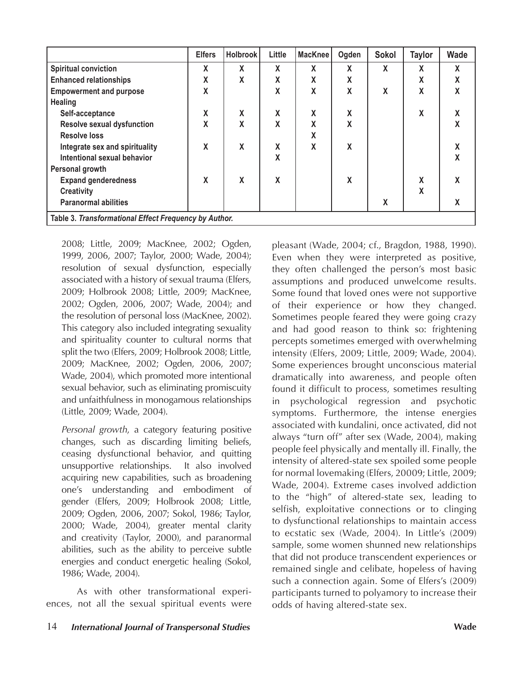|                                                       | <b>Elfers</b> | <b>Holbrook</b> | Little | <b>MacKnee</b> | Ogden | <b>Sokol</b> | <b>Taylor</b> | <b>Wade</b>  |
|-------------------------------------------------------|---------------|-----------------|--------|----------------|-------|--------------|---------------|--------------|
| <b>Spiritual conviction</b>                           | X             | X               | X      | X              | X     | X            | χ             | $\pmb{\chi}$ |
| <b>Enhanced relationships</b>                         | χ             | X               | X      | X              | χ     |              | χ             | X            |
| <b>Empowerment and purpose</b>                        | X             |                 | X      | X              | X     | X            | X             | X            |
| <b>Healing</b>                                        |               |                 |        |                |       |              |               |              |
| Self-acceptance                                       | X             | X               | X      | X              | X     |              | X             | χ            |
| <b>Resolve sexual dysfunction</b>                     | X             | X               | X      | X              | X     |              |               | X            |
| <b>Resolve loss</b>                                   |               |                 |        | X              |       |              |               |              |
| Integrate sex and spirituality                        | X             | X               | X      | X              | X     |              |               | χ            |
| Intentional sexual behavior                           |               |                 | X      |                |       |              |               | X            |
| Personal growth                                       |               |                 |        |                |       |              |               |              |
| <b>Expand genderedness</b>                            | X             | χ               | X      |                | X     |              | χ             | χ            |
| <b>Creativity</b>                                     |               |                 |        |                |       |              | X             |              |
| <b>Paranormal abilities</b>                           |               |                 |        |                |       | χ            |               | χ            |
| Table 3. Transformational Effect Frequency by Author. |               |                 |        |                |       |              |               |              |

2008; Little, 2009; MacKnee, 2002; Ogden, 1999, 2006, 2007; Taylor, 2000; Wade, 2004); resolution of sexual dysfunction, especially associated with a history of sexual trauma (Elfers, 2009; Holbrook 2008; Little, 2009; MacKnee, 2002; Ogden, 2006, 2007; Wade, 2004); and the resolution of personal loss (MacKnee, 2002). This category also included integrating sexuality and spirituality counter to cultural norms that split the two (Elfers, 2009; Holbrook 2008; Little, 2009; MacKnee, 2002; Ogden, 2006, 2007; Wade, 2004), which promoted more intentional sexual behavior, such as eliminating promiscuity and unfaithfulness in monogamous relationships (Little, 2009; Wade, 2004).

*Personal growth*, a category featuring positive changes, such as discarding limiting beliefs, ceasing dysfunctional behavior, and quitting unsupportive relationships. It also involved acquiring new capabilities, such as broadening one's understanding and embodiment of gender (Elfers, 2009; Holbrook 2008; Little, 2009; Ogden, 2006, 2007; Sokol, 1986; Taylor, 2000; Wade, 2004), greater mental clarity and creativity (Taylor, 2000), and paranormal abilities, such as the ability to perceive subtle energies and conduct energetic healing (Sokol, 1986; Wade, 2004).

As with other transformational experiences, not all the sexual spiritual events were pleasant (Wade, 2004; cf., Bragdon, 1988, 1990). Even when they were interpreted as positive, they often challenged the person's most basic assumptions and produced unwelcome results. Some found that loved ones were not supportive of their experience or how they changed. Sometimes people feared they were going crazy and had good reason to think so: frightening percepts sometimes emerged with overwhelming intensity (Elfers, 2009; Little, 2009; Wade, 2004). Some experiences brought unconscious material dramatically into awareness, and people often found it difficult to process, sometimes resulting in psychological regression and psychotic symptoms. Furthermore, the intense energies associated with kundalini, once activated, did not always "turn off" after sex (Wade, 2004), making people feel physically and mentally ill. Finally, the intensity of altered-state sex spoiled some people for normal lovemaking (Elfers, 20009; Little, 2009; Wade, 2004). Extreme cases involved addiction to the "high" of altered-state sex, leading to selfish, exploitative connections or to clinging to dysfunctional relationships to maintain access to ecstatic sex (Wade, 2004). In Little's (2009) sample, some women shunned new relationships that did not produce transcendent experiences or remained single and celibate, hopeless of having such a connection again. Some of Elfers's (2009) participants turned to polyamory to increase their odds of having altered-state sex.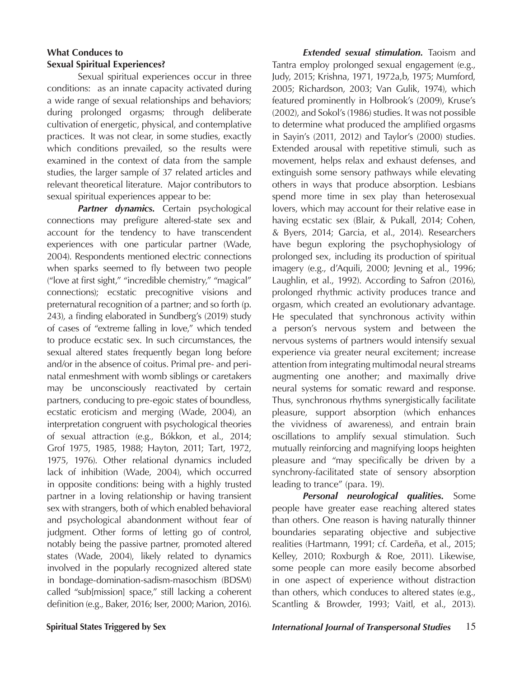# **What Conduces to Sexual Spiritual Experiences?**

Sexual spiritual experiences occur in three conditions: as an innate capacity activated during a wide range of sexual relationships and behaviors; during prolonged orgasms; through deliberate cultivation of energetic, physical, and contemplative practices. It was not clear, in some studies, exactly which conditions prevailed, so the results were examined in the context of data from the sample studies, the larger sample of 37 related articles and relevant theoretical literature. Major contributors to sexual spiritual experiences appear to be:

*Partner dynamics.* Certain psychological connections may prefigure altered-state sex and account for the tendency to have transcendent experiences with one particular partner (Wade, 2004). Respondents mentioned electric connections when sparks seemed to fly between two people ("love at first sight," "incredible chemistry," "magical" connections); ecstatic precognitive visions and preternatural recognition of a partner; and so forth (p. 243), a finding elaborated in Sundberg's (2019) study of cases of "extreme falling in love," which tended to produce ecstatic sex. In such circumstances, the sexual altered states frequently began long before and/or in the absence of coitus. Primal pre- and perinatal enmeshment with womb siblings or caretakers may be unconsciously reactivated by certain partners, conducing to pre-egoic states of boundless, ecstatic eroticism and merging (Wade, 2004), an interpretation congruent with psychological theories of sexual attraction (e.g., Bókkon, et al., 2014; Grof 1975, 1985, 1988; Hayton, 2011; Tart, 1972, 1975, 1976). Other relational dynamics included lack of inhibition (Wade, 2004), which occurred in opposite conditions: being with a highly trusted partner in a loving relationship or having transient sex with strangers, both of which enabled behavioral and psychological abandonment without fear of judgment. Other forms of letting go of control, notably being the passive partner, promoted altered states (Wade, 2004), likely related to dynamics involved in the popularly recognized altered state in bondage-domination-sadism-masochism (BDSM) called "sub[mission] space," still lacking a coherent definition (e.g., Baker, 2016; Iser, 2000; Marion, 2016).

*Extended sexual stimulation.* Taoism and Tantra employ prolonged sexual engagement (e.g., Judy, 2015; Krishna, 1971, 1972a,b, 1975; Mumford, 2005; Richardson, 2003; Van Gulik, 1974), which featured prominently in Holbrook's (2009), Kruse's (2002), and Sokol's (1986) studies. It was not possible to determine what produced the amplified orgasms in Sayin's (2011, 2012) and Taylor's (2000) studies. Extended arousal with repetitive stimuli, such as movement, helps relax and exhaust defenses, and extinguish some sensory pathways while elevating others in ways that produce absorption. Lesbians spend more time in sex play than heterosexual lovers, which may account for their relative ease in having ecstatic sex (Blair, & Pukall, 2014; Cohen, & Byers, 2014; Garcia, et al., 2014). Researchers have begun exploring the psychophysiology of prolonged sex, including its production of spiritual imagery (e.g., d'Aquili, 2000; Jevning et al., 1996; Laughlin, et al., 1992). According to Safron (2016), prolonged rhythmic activity produces trance and orgasm, which created an evolutionary advantage. He speculated that synchronous activity within a person's nervous system and between the nervous systems of partners would intensify sexual experience via greater neural excitement; increase attention from integrating multimodal neural streams augmenting one another; and maximally drive neural systems for somatic reward and response. Thus, synchronous rhythms synergistically facilitate pleasure, support absorption (which enhances the vividness of awareness), and entrain brain oscillations to amplify sexual stimulation. Such mutually reinforcing and magnifying loops heighten pleasure and "may specifically be driven by a synchrony-facilitated state of sensory absorption leading to trance" (para. 19).

*Personal neurological qualities.* Some people have greater ease reaching altered states than others. One reason is having naturally thinner boundaries separating objective and subjective realities (Hartmann, 1991; cf. Cardeña, et al., 2015; Kelley, 2010; Roxburgh & Roe, 2011). Likewise, some people can more easily become absorbed in one aspect of experience without distraction than others, which conduces to altered states (e.g., Scantling & Browder, 1993; Vaitl, et al., 2013).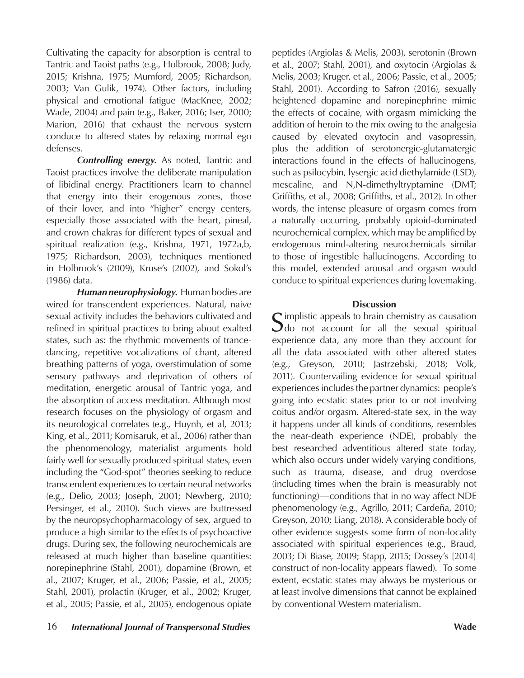Cultivating the capacity for absorption is central to Tantric and Taoist paths (e.g., Holbrook, 2008; Judy, 2015; Krishna, 1975; Mumford, 2005; Richardson, 2003; Van Gulik, 1974). Other factors, including physical and emotional fatigue (MacKnee, 2002; Wade, 2004) and pain (e.g., Baker, 2016; Iser, 2000; Marion, 2016) that exhaust the nervous system conduce to altered states by relaxing normal ego defenses.

*Controlling energy.* As noted, Tantric and Taoist practices involve the deliberate manipulation of libidinal energy. Practitioners learn to channel that energy into their erogenous zones, those of their lover, and into "higher" energy centers, especially those associated with the heart, pineal, and crown chakras for different types of sexual and spiritual realization (e.g., Krishna, 1971, 1972a,b, 1975; Richardson, 2003), techniques mentioned in Holbrook's (2009), Kruse's (2002), and Sokol's (1986) data.

*Human neurophysiology.* Human bodies are wired for transcendent experiences. Natural, naive sexual activity includes the behaviors cultivated and refined in spiritual practices to bring about exalted states, such as: the rhythmic movements of trancedancing, repetitive vocalizations of chant, altered breathing patterns of yoga, overstimulation of some sensory pathways and deprivation of others of meditation, energetic arousal of Tantric yoga, and the absorption of access meditation. Although most research focuses on the physiology of orgasm and its neurological correlates (e.g., Huynh, et al, 2013; King, et al., 2011; Komisaruk, et al., 2006) rather than the phenomenology, materialist arguments hold fairly well for sexually produced spiritual states, even including the "God-spot" theories seeking to reduce transcendent experiences to certain neural networks (e.g., Delio, 2003; Joseph, 2001; Newberg, 2010; Persinger, et al., 2010). Such views are buttressed by the neuropsychopharmacology of sex, argued to produce a high similar to the effects of psychoactive drugs. During sex, the following neurochemicals are released at much higher than baseline quantities: norepinephrine (Stahl, 2001), dopamine (Brown, et al., 2007; Kruger, et al., 2006; Passie, et al., 2005; Stahl, 2001), prolactin (Kruger, et al., 2002; Kruger, et al., 2005; Passie, et al., 2005), endogenous opiate

peptides (Argiolas & Melis, 2003), serotonin (Brown et al., 2007; Stahl, 2001), and oxytocin (Argiolas & Melis, 2003; Kruger, et al., 2006; Passie, et al., 2005; Stahl, 2001). According to Safron (2016), sexually heightened dopamine and norepinephrine mimic the effects of cocaine, with orgasm mimicking the addition of heroin to the mix owing to the analgesia caused by elevated oxytocin and vasopressin, plus the addition of serotonergic-glutamatergic interactions found in the effects of hallucinogens, such as psilocybin, lysergic acid diethylamide (LSD), mescaline, and N,N-dimethyltryptamine (DMT; Griffiths, et al., 2008; Griffiths, et al., 2012). In other words, the intense pleasure of orgasm comes from a naturally occurring, probably opioid-dominated neurochemical complex, which may be amplified by endogenous mind-altering neurochemicals similar to those of ingestible hallucinogens. According to this model, extended arousal and orgasm would conduce to spiritual experiences during lovemaking.

### **Discussion**

Simplistic appeals to brain chemistry as causation<br>Sdo not account for all the sexual spiritual experience data, any more than they account for all the data associated with other altered states (e.g., Greyson, 2010; Jastrzebski, 2018; Volk, 2011). Countervailing evidence for sexual spiritual experiences includes the partner dynamics: people's going into ecstatic states prior to or not involving coitus and/or orgasm. Altered-state sex, in the way it happens under all kinds of conditions, resembles the near-death experience (NDE), probably the best researched adventitious altered state today, which also occurs under widely varying conditions, such as trauma, disease, and drug overdose (including times when the brain is measurably not functioning)—conditions that in no way affect NDE phenomenology (e.g., Agrillo, 2011; Cardeña, 2010; Greyson, 2010; Liang, 2018). A considerable body of other evidence suggests some form of non-locality associated with spiritual experiences (e.g., Braud, 2003; Di Biase, 2009; Stapp, 2015; Dossey's [2014] construct of non-locality appears flawed). To some extent, ecstatic states may always be mysterious or at least involve dimensions that cannot be explained by conventional Western materialism.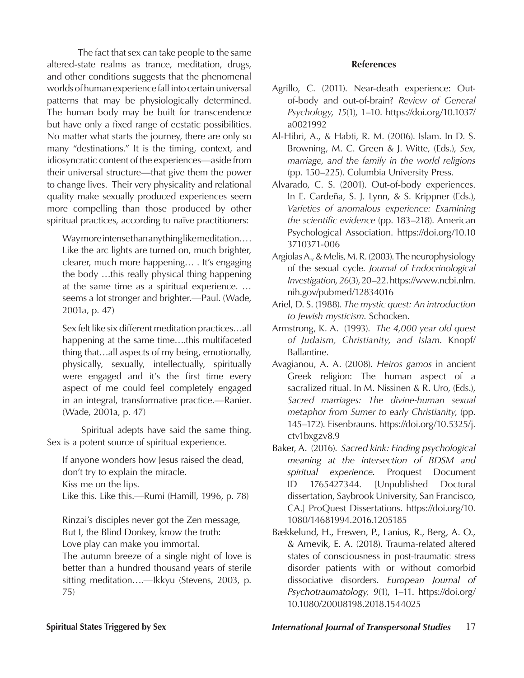The fact that sex can take people to the same altered-state realms as trance, meditation, drugs, and other conditions suggests that the phenomenal worlds of human experience fall into certain universal patterns that may be physiologically determined. The human body may be built for transcendence but have only a fixed range of ecstatic possibilities. No matter what starts the journey, there are only so many "destinations." It is the timing, context, and idiosyncratic content of the experiences—aside from their universal structure—that give them the power to change lives. Their very physicality and relational quality make sexually produced experiences seem more compelling than those produced by other spiritual practices, according to naïve practitioners:

Way more intense than anything like meditation… . Like the arc lights are turned on, much brighter, clearer, much more happening… . It's engaging the body …this really physical thing happening at the same time as a spiritual experience. … seems a lot stronger and brighter.—Paul. (Wade, 2001a, p. 47)

Sex felt like six different meditation practices…all happening at the same time….this multifaceted thing that…all aspects of my being, emotionally, physically, sexually, intellectually, spiritually were engaged and it's the first time every aspect of me could feel completely engaged in an integral, transformative practice.—Ranier. (Wade, 2001a, p. 47)

 Spiritual adepts have said the same thing. Sex is a potent source of spiritual experience.

If anyone wonders how Jesus raised the dead, don't try to explain the miracle. Kiss me on the lips.

Like this. Like this.—Rumi (Hamill, 1996, p. 78)

Rinzai's disciples never got the Zen message, But I, the Blind Donkey, know the truth: Love play can make you immortal.

The autumn breeze of a single night of love is better than a hundred thousand years of sterile sitting meditation....—Ikkyu (Stevens, 2003, p. 75)

### **References**

- Agrillo, C. (2011). Near-death experience: Outof-body and out-of-brain? *Review of General Psychology, 15*(1), 1–10. https://doi.org/10.1037/ a0021992
- Al-Hibri, A., & Habti, R. M. (2006). Islam. In D. S. Browning, M. C. Green & J. Witte, (Eds.), *Sex, marriage, and the family in the world religions* (pp. 150–225). Columbia University Press.
- Alvarado, C. S. (2001). Out-of-body experiences. In E. Cardeña, S. J. Lynn, & S. Krippner (Eds.), *Varieties of anomalous experience: Examining the scientific evidence* (pp. 183–218). American Psychological Association. https://doi.org/10.10 3710371-006
- Argiolas A., & Melis, M. R. (2003). The neurophysiology of the sexual cycle. *Journal of Endocrinological Investigation, 26*(3), 20–22. https://www.ncbi.nlm. nih.gov/pubmed/12834016
- Ariel, D. S. (1988). *The mystic quest: An introduction to Jewish mysticism*. Schocken.
- Armstrong, K. A. (1993). *The 4,000 year old quest of Judaism, Christianity, and Islam*. Knopf/ Ballantine.
- Avagianou, A. A. (2008). *Heiros gamos* in ancient Greek religion: The human aspect of a sacralized ritual. In M. Nissinen & R. Uro, (Eds.), *Sacred marriages: The divine-human sexual metaphor from Sumer to early Christianity*, (pp. 145–172). Eisenbrauns. https://doi.org/10.5325/j. ctv1bxgzv8.9
- Baker, A. (2016). *Sacred kink: Finding psychological meaning at the intersection of BDSM and spiritual experience*. Proquest Document ID 1765427344. [Unpublished Doctoral dissertation, Saybrook University, San Francisco, CA.] ProQuest Dissertations. https://doi.org/10. 1080/14681994.2016.1205185
- Bækkelund, H., Frewen, P., Lanius, R., Berg, A. O., & Arnevik, E. A. (2018). Trauma-related altered states of consciousness in post-traumatic stress disorder patients with or without comorbid dissociative disorders. *European Journal of Psychotraumatology, 9*(1), 1–11. https://doi.org/ 10.1080/20008198.2018.1544025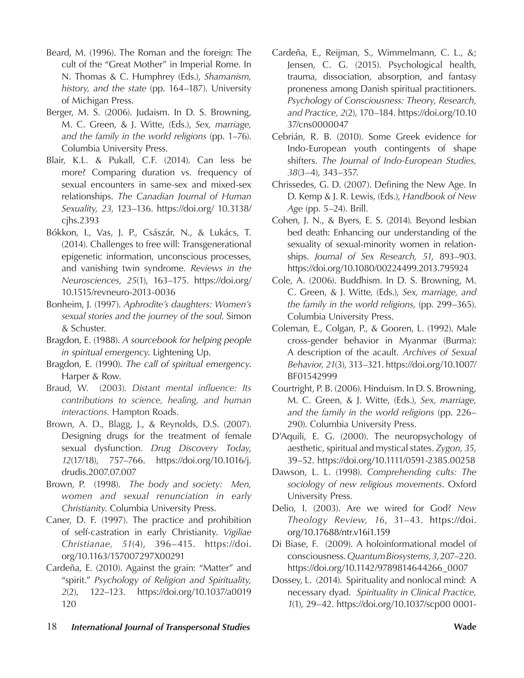- Beard, M. (1996). The Roman and the foreign: The cult of the "Great Mother" in Imperial Rome. In N. Thomas & C. Humphrey (Eds.), *Shamanism, history, and the state* (pp. 164–187). University of Michigan Press.
- Berger, M. S. (2006). Judaism. In D. S. Browning, M. C. Green, & J. Witte, (Eds.), *Sex, marriage, and the family in the world religions* (pp. 1–76). Columbia University Press.
- Blair, K.L. & Pukall, C.F. (2014). Can less be more? Comparing duration vs. frequency of sexual encounters in same-sex and mixed-sex relationships. *The Canadian Journal of Human Sexuality, 23*, 123–136. https://doi.org/ 10.3138/ cjhs.2393
- Bókkon, I., Vas, J. P., Császár, N., & Lukács, T. (2014). Challenges to free will: Transgenerational epigenetic information, unconscious processes, and vanishing twin syndrome*. Reviews in the Neurosciences, 25*(1), 163–175. https://doi.org/ 10.1515/revneuro-2013-0036
- Bonheim, J. (1997). *Aphrodite's daughters: Women's sexual stories and the journey of the soul*. Simon & Schuster.
- Bragdon, E. (1988). *A sourcebook for helping people in spiritual emergency*. Lightening Up.
- Bragdon, E. (1990). *The call of spiritual emergency*. Harper & Row.
- Braud, W. (2003). *Distant mental influence: Its contributions to science, healing, and human interactions.* Hampton Roads.
- Brown, A. D., Blagg, J., & Reynolds, D.S. (2007). Designing drugs for the treatment of female sexual dysfunction. *Drug Discovery Today*, *12*(17/18), 757–766. https://doi.org/10.1016/j. drudis.2007.07.007
- Brown, P. (1998). *The body and society: Men, women and sexual renunciation in early Christianity*. Columbia University Press.
- Caner, D. F. (1997). The practice and prohibition of self-castration in early Christianity. *Vigiliae Christianae, 51*(4), 396–415. https://doi. org/10.1163/157007297X00291
- Cardeña, E. (2010). Against the grain: "Matter" and "spirit." *Psychology of Religion and Spirituality, 2*(2), 122–123. https://doi.org/10.1037/a0019 120
- Cardeña, E., Reijman, S., Wimmelmann, C. L., &; Jensen, C. G. (2015). Psychological health, trauma, dissociation, absorption, and fantasy proneness among Danish spiritual practitioners. *Psychology of Consciousness: Theory, Research, and Practice, 2*(2), 170–184. https://doi.org/10.10 37/cns0000047
- Cebrián, R. B. (2010). Some Greek evidence for Indo-European youth contingents of shape shifters. *The Journal of Indo-European Studies, 38*(3–4), 343–357.
- Chrissedes, G. D. (2007). Defining the New Age. In D. Kemp & J. R. Lewis, (Eds.), *Handbook of New Age* (pp. 5–24). Brill.
- Cohen, J. N., & Byers, E. S. (2014). Beyond lesbian bed death: Enhancing our understanding of the sexuality of sexual-minority women in relationships. *Journal of Sex Research, 51*, 893–903. https://doi.org/10.1080/00224499.2013.795924
- Cole, A. (2006). Buddhism. In D. S. Browning, M. C. Green, & J. Witte, (Eds.), *Sex, marriage, and the family in the world religions*, (pp. 299–365). Columbia University Press.
- Coleman, E., Colgan, P., & Gooren, L. (1992). Male cross-gender behavior in Myanmar (Burma): A description of the acault. *Archives of Sexual Behavior, 21*(3), 313–321. https://doi.org/10.1007/ BF01542999
- Courtright, P. B. (2006). Hinduism. In D. S. Browning, M. C. Green, & J. Witte, (Eds.), *Sex, marriage, and the family in the world religions* (pp. 226– 290). Columbia University Press.
- D'Aquili, E. G. (2000). The neuropsychology of aesthetic, spiritual and mystical states. *Zygon, 35*, 39–52. https://doi.org/10.1111/0591-2385.00258
- Dawson, L. L. (1998). *Comprehending cults: The sociology of new religious movements*. Oxford University Press.
- Delio, I. (2003). Are we wired for God? *New Theology Review, 16*, 31–43. https://doi. org/10.17688/ntr.v16i1.159
- Di Biase, F. (2009). A holoinformational model of consciousness. *Quantum Biosystems, 3,* 207–220. https://doi.org/10.1142/9789814644266\_0007
- Dossey, L. (2014). Spirituality and nonlocal mind: A necessary dyad. *Spirituality in Clinical Practice, 1*(1), 29–42. https://doi.org/10.1037/scp00 0001-
- 18 *International Journal of Transpersonal Studies* **Wade**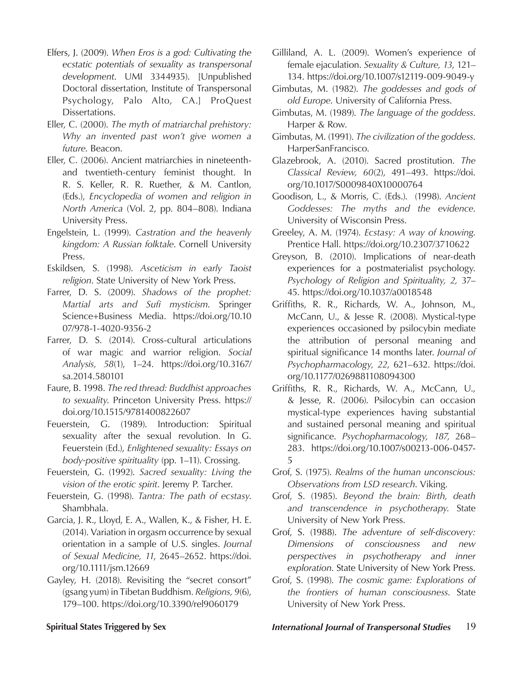- Elfers, J. (2009). *When Eros is a god: Cultivating the ecstatic potentials of sexuality as transpersonal development*. UMI 3344935). [Unpublished Doctoral dissertation, Institute of Transpersonal Psychology, Palo Alto, CA.] ProQuest Dissertations.
- Eller, C. (2000). *The myth of matriarchal prehistory: Why an invented past won't give women a future*. Beacon.
- Eller, C. (2006). Ancient matriarchies in nineteenthand twentieth-century feminist thought. In R. S. Keller, R. R. Ruether, & M. Cantlon, (Eds.), *Encyclopedia of women and religion in North America* (Vol. 2, pp. 804–808). Indiana University Press.
- Engelstein, L. (1999). *Castration and the heavenly kingdom: A Russian folktale*. Cornell University Press.
- Eskildsen, S. (1998). *Asceticism in early Taoist religion*. State University of New York Press.
- Farrer, D. S. (2009). *Shadows of the prophet: Martial arts and Sufi mysticism*. Springer Science+Business Media. https://doi.org/10.10 07/978-1-4020-9356-2
- Farrer, D. S. (2014). Cross-cultural articulations of war magic and warrior religion. *Social Analysis, 58*(1), 1–24. https://doi.org/10.3167/ sa.2014.580101
- Faure, B. 1998. *The red thread: Buddhist approaches to sexuality*. Princeton University Press. https:// doi.org/10.1515/9781400822607
- Feuerstein, G. (1989). Introduction: Spiritual sexuality after the sexual revolution. In G. Feuerstein (Ed.), *Enlightened sexuality: Essays on body-positive spirituality* (pp. 1–11). Crossing.
- Feuerstein, G. (1992). *Sacred sexuality: Living the vision of the erotic spirit*. Jeremy P. Tarcher.
- Feuerstein, G. (1998). *Tantra: The path of ecstasy*. Shambhala.
- Garcia, J. R., Lloyd, E. A., Wallen, K., & Fisher, H. E. (2014). Variation in orgasm occurrence by sexual orientation in a sample of U.S. singles. *Journal of Sexual Medicine, 11*, 2645–2652. https://doi. org/10.1111/jsm.12669
- Gayley, H. (2018). Revisiting the "secret consort" (gsang yum) in Tibetan Buddhism. *Religions, 9*(6), 179–100. https://doi.org/10.3390/rel9060179
- Gilliland, A. L. (2009). Women's experience of female ejaculation. *Sexuality & Culture, 13*, 121– 134. https://doi.org/10.1007/s12119-009-9049-y
- Gimbutas, M. (1982). *The goddesses and gods of old Europe*. University of California Press.
- Gimbutas, M. (1989). *The language of the goddess*. Harper & Row.
- Gimbutas, M. (1991). *The civilization of the goddess*. HarperSanFrancisco.
- Glazebrook, A. (2010). Sacred prostitution. *The Classical Review, 60*(2), 491–493. https://doi. org/10.1017/S0009840X10000764
- Goodison, L., & Morris, C. (Eds.). (1998). *Ancient Goddesses: The myths and the evidence*. University of Wisconsin Press.
- Greeley, A. M. (1974). *Ecstasy: A way of knowing*. Prentice Hall. https://doi.org/10.2307/3710622
- Greyson, B. (2010). Implications of near-death experiences for a postmaterialist psychology. *Psychology of Religion and Spirituality, 2,* 37– 45. https://doi.org/10.1037/a0018548
- Griffiths, R. R., Richards, W. A., Johnson, M., McCann, U., & Jesse R. (2008). Mystical-type experiences occasioned by psilocybin mediate the attribution of personal meaning and spiritual significance 14 months later. *Journal of Psychopharmacology, 22*, 621–632. https://doi. org/10.1177/0269881108094300
- Griffiths, R. R., Richards, W. A., McCann, U., & Jesse, R. (2006). Psilocybin can occasion mystical-type experiences having substantial and sustained personal meaning and spiritual significance. *Psychopharmacology, 187*, 268– 283. https://doi.org/10.1007/s00213-006-0457- 5
- Grof, S. (1975). *Realms of the human unconscious: Observations from LSD research*. Viking.
- Grof, S. (1985). *Beyond the brain: Birth, death and transcendence in psychotherapy*. State University of New York Press.
- Grof, S. (1988). *The adventure of self-discovery: Dimensions of consciousness and new perspectives in psychotherapy and inner exploration*. State University of New York Press.
- Grof, S. (1998). *The cosmic game: Explorations of the frontiers of human consciousness*. State University of New York Press.

# **Spiritual States Triggered by Sex** *International Journal of Transpersonal Studies* 19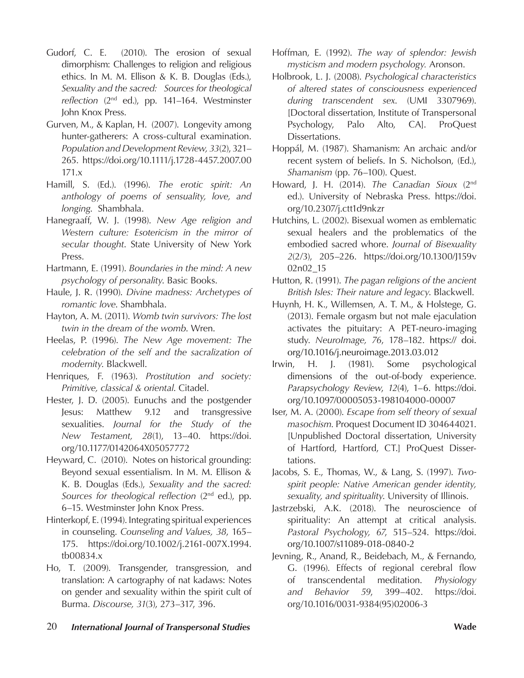- Gudorf, C. E. (2010). The erosion of sexual dimorphism: Challenges to religion and religious ethics. In M. M. Ellison & K. B. Douglas (Eds.), *Sexuality and the sacred: Sources for theological reflection* (2nd ed.), pp. 141–164. Westminster John Knox Press.
- Gurven, M., & Kaplan, H. (2007). Longevity among hunter-gatherers: A cross-cultural examination. *Population and Development Review, 33*(2), 321– 265. https://doi.org/10.1111/j.1728-4457.2007.00 171.x
- Hamill, S. (Ed.). (1996). *The erotic spirit: An anthology of poems of sensuality, love, and longing*. Shambhala.
- Hanegraaff, W. J. (1998). *New Age religion and Western culture: Esotericism in the mirror of secular thought*. State University of New York Press.
- Hartmann, E. (1991). *Boundaries in the mind: A new psychology of personality*. Basic Books.
- Haule, J. R. (1990). *Divine madness: Archetypes of romantic love*. Shambhala.
- Hayton, A. M. (2011). *Womb twin survivors: The lost twin in the dream of the womb*. Wren.
- Heelas, P. (1996). *The New Age movement: The celebration of the self and the sacralization of modernity*. Blackwell.
- Henriques, F. (1963). *Prostitution and society: Primitive, classical & oriental*. Citadel.
- Hester, J. D. (2005). Eunuchs and the postgender Jesus: Matthew 9.12 and transgressive sexualities. *Journal for the Study of the New Testament, 28*(1), 13–40. https://doi. org/10.1177/0142064X05057772
- Heyward, C. (2010). Notes on historical grounding: Beyond sexual essentialism. In M. M. Ellison & K. B. Douglas (Eds.), *Sexuality and the sacred: Sources for theological reflection* (2<sup>nd</sup> ed.), pp. 6–15. Westminster John Knox Press.
- Hinterkopf, E. (1994). Integrating spiritual experiences in counseling. *Counseling and Values, 38*, 165– 175. https://doi.org/10.1002/j.2161-007X.1994. tb00834.x
- Ho, T. (2009). Transgender, transgression, and translation: A cartography of nat kadaws: Notes on gender and sexuality within the spirit cult of Burma. *Discourse, 31*(3), 273–317, 396.
- Hoffman, E. (1992). *The way of splendor: Jewish mysticism and modern psychology.* Aronson.
- Holbrook, L. J. (2008). *Psychological characteristics of altered states of consciousness experienced during transcendent sex*. (UMI 3307969). [Doctoral dissertation, Institute of Transpersonal Psychology, Palo Alto, CA]. ProQuest Dissertations.
- Hoppál, M. (1987). Shamanism: An archaic and/or recent system of beliefs. In S. Nicholson, (Ed.), *Shamanism* (pp. 76–100). Quest.
- Howard, J. H. (2014). *The Canadian Sioux* (2nd ed.). University of Nebraska Press. https://doi. org/10.2307/j.ctt1d9nkzr
- Hutchins, L. (2002). Bisexual women as emblematic sexual healers and the problematics of the embodied sacred whore. *Journal of Bisexuality 2*(2/3), 205–226. https://doi.org/10.1300/J159v 02n02\_15
- Hutton, R. (1991). *The pagan religions of the ancient British Isles: Their nature and legacy*. Blackwell.
- Huynh, H. K., Willemsen, A. T. M., & Holstege, G. (2013). Female orgasm but not male ejaculation activates the pituitary: A PET-neuro-imaging study. *NeuroImage, 76*, 178–182. https:// doi. org/10.1016/j.neuroimage.2013.03.012
- Irwin, H. J. (1981). Some psychological dimensions of the out-of-body experience. *Parapsychology Review*, *12*(4), 1–6. https://doi. org/10.1097/00005053-198104000-00007
- Iser, M. A. (2000). *Escape from self theory of sexual masochism*. Proquest Document ID 304644021. [Unpublished Doctoral dissertation, University of Hartford, Hartford, CT.] ProQuest Dissertations.
- Jacobs, S. E., Thomas, W., & Lang, S. (1997). *Twospirit people: Native American gender identity, sexuality, and spirituality*. University of Illinois.
- Jastrzebski, A.K. (2018). The neuroscience of spirituality: An attempt at critical analysis. *Pastoral Psychology, 67*, 515–524. https://doi. org/10.1007/s11089-018-0840-2
- Jevning, R., Anand, R., Beidebach, M., & Fernando, G. (1996). Effects of regional cerebral flow of transcendental meditation. *Physiology and Behavior 59*, 399–402. https://doi. org/10.1016/0031-9384(95)02006-3
- 20 *International Journal of Transpersonal Studies* **Wade**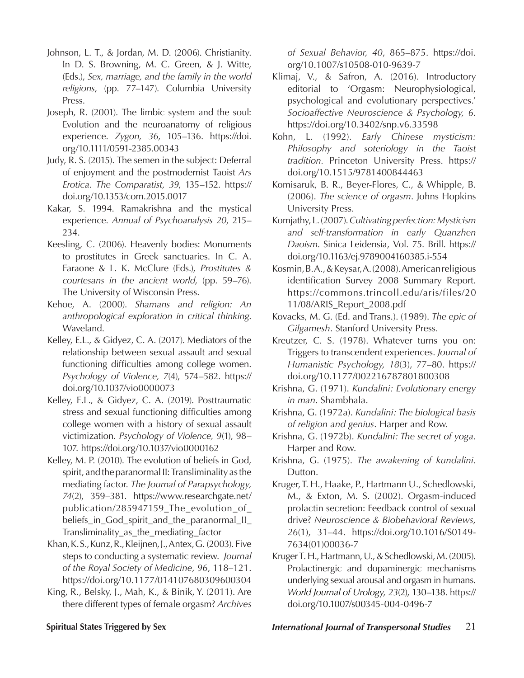- Johnson, L. T., & Jordan, M. D. (2006). Christianity. In D. S. Browning, M. C. Green, & J. Witte, (Eds.), *Sex, marriage, and the family in the world religions*, (pp. 77–147). Columbia University Press.
- Joseph, R. (2001). The limbic system and the soul: Evolution and the neuroanatomy of religious experience. *Zygon, 36*, 105–136. https://doi. org/10.1111/0591-2385.00343
- Judy, R. S. (2015). The semen in the subject: Deferral of enjoyment and the postmodernist Taoist *Ars Erotica*. *The Comparatist, 39*, 135–152. https:// doi.org/10.1353/com.2015.0017
- Kakar, S. 1994. Ramakrishna and the mystical experience. *Annual of Psychoanalysis 20*, 215– 234.
- Keesling, C. (2006). Heavenly bodies: Monuments to prostitutes in Greek sanctuaries. In C. A. Faraone & L. K. McClure (Eds.), *Prostitutes & courtesans in the ancient world*, (pp. 59–76). The University of Wisconsin Press.
- Kehoe, A. (2000). *Shamans and religion: An anthropological exploration in critical thinking*. Waveland.
- Kelley, E.L., & Gidyez, C. A. (2017). Mediators of the relationship between sexual assault and sexual functioning difficulties among college women. *Psychology of Violence, 7*(4), 574–582. https:// doi.org/10.1037/vio0000073
- Kelley, E.L., & Gidyez, C. A. (2019). Posttraumatic stress and sexual functioning difficulties among college women with a history of sexual assault victimization. *Psychology of Violence, 9*(1), 98– 107. https://doi.org/10.1037/vio0000162
- Kelley, M. P. (2010). The evolution of beliefs in God, spirit, and the paranormal II: Transliminality as the mediating factor. *The Journal of Parapsychology, 74*(2), 359–381. https://www.researchgate.net/ publication/285947159\_The\_evolution\_of\_ beliefs\_in\_God\_spirit\_and\_the\_paranormal\_II\_ Transliminality\_as\_the\_mediating\_factor
- Khan, K. S., Kunz, R., Kleijnen, J., Antex, G. (2003). Five steps to conducting a systematic review. *Journal of the Royal Society of Medicine, 96*, 118–121. https://doi.org/10.1177/014107680309600304
- King, R., Belsky, J., Mah, K., & Binik, Y. (2011). Are there different types of female orgasm? *Archives*

*of Sexual Behavior, 40*, 865–875. https://doi. org/10.1007/s10508-010-9639-7

- Klimaj, V., & Safron, A. (2016). Introductory editorial to 'Orgasm: Neurophysiological, psychological and evolutionary perspectives.' *Socioaffective Neuroscience & Psychology, 6*. https://doi.org/10.3402/snp.v6.33598
- Kohn, L. (1992). *Early Chinese mysticism: Philosophy and soteriology in the Taoist tradition.* Princeton University Press. https:// doi.org/10.1515/9781400844463
- Komisaruk, B. R., Beyer-Flores, C., & Whipple, B. (2006). *The science of orgasm*. Johns Hopkins University Press.
- Komjathy, L. (2007). *Cultivating perfection: Mysticism and self-transformation in early Quanzhen Daoism*. Sinica Leidensia, Vol. 75. Brill. https:// doi.org/10.1163/ej.9789004160385.i-554
- Kosmin, B. A., & Keysar, A. (2008). American religious identification Survey 2008 Summary Report. https://commons.trincoll.edu/aris/files/20 11/08/ARIS\_Report\_2008.pdf
- Kovacks, M. G. (Ed. and Trans.). (1989). *The epic of Gilgamesh*. Stanford University Press.
- Kreutzer, C. S. (1978). Whatever turns you on: Triggers to transcendent experiences. *Journal of Humanistic Psychology, 18*(3), 77–80. https:// doi.org/10.1177/002216787801800308
- Krishna, G. (1971). *Kundalini: Evolutionary energy in man*. Shambhala.
- Krishna, G. (1972a). *Kundalini: The biological basis of religion and genius*. Harper and Row.
- Krishna, G. (1972b). *Kundalini: The secret of yoga*. Harper and Row.
- Krishna, G. (1975). *The awakening of kundalini*. Dutton.
- Kruger, T. H., Haake, P., Hartmann U., Schedlowski, M., & Exton, M. S. (2002). Orgasm-induced prolactin secretion: Feedback control of sexual drive? *Neuroscience & Biobehavioral Reviews, 26*(1), 31–44. https://doi.org/10.1016/S0149- 7634(01)00036-7
- Kruger T. H., Hartmann, U., & Schedlowski, M. (2005). Prolactinergic and dopaminergic mechanisms underlying sexual arousal and orgasm in humans. *World Journal of Urology, 23*(2), 130–138. https:// doi.org/10.1007/s00345-004-0496-7

### **Spiritual States Triggered by Sex** *International Journal of Transpersonal Studies* 21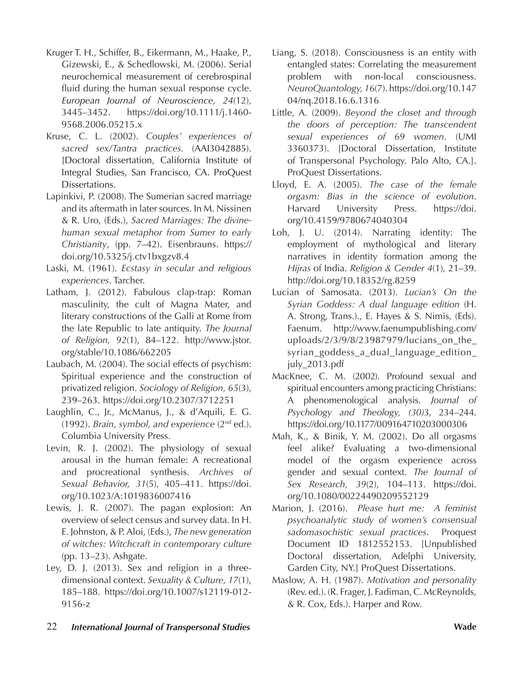- Kruger T. H., Schiffer, B., Eikermann, M., Haake, P., Gizewski, E., & Schedlowski, M. (2006). Serial neurochemical measurement of cerebrospinal fluid during the human sexual response cycle. *European Journal of Neuroscience, 24*(12), 3445–3452. https://doi.org/10.1111/j.1460- 9568.2006.05215.x
- Kruse, C. L. (2002). *Couples' experiences of sacred sex/Tantra practices.* (AAI3042885). [Doctoral dissertation, California Institute of Integral Studies, San Francisco, CA. ProQuest Dissertations.
- Lapinkivi, P. (2008). The Sumerian sacred marriage and its aftermath in later sources. In M. Nissinen & R. Uro, (Eds.), *Sacred Marriages: The divinehuman sexual metaphor from Sumer to early Christianity*, (pp. 7–42). Eisenbrauns. https:// doi.org/10.5325/j.ctv1bxgzv8.4
- Laski, M. (1961). *Ecstasy in secular and religious experiences*. Tarcher.
- Latham, J. (2012). Fabulous clap-trap: Roman masculinity, the cult of Magna Mater, and literary constructions of the Galli at Rome from the late Republic to late antiquity. *The Journal of Religion, 92*(1), 84–122. http://www.jstor. org/stable/10.1086/662205
- Laubach, M. (2004). The social effects of psychism: Spiritual experience and the construction of privatized religion. *Sociology of Religion, 65*(3), 239–263. https://doi.org/10.2307/3712251
- Laughlin, C., Jr., McManus, J., & d'Aquili, E. G. (1992). *Brain, symbol, and experience* (2nd ed.). Columbia University Press.
- Levin, R. J. (2002). The physiology of sexual arousal in the human female: A recreational and procreational synthesis. *Archives of Sexual Behavior, 31*(5), 405–411. https://doi. org/10.1023/A:1019836007416
- Lewis, J. R. (2007). The pagan explosion: An overview of select census and survey data. In H. E. Johnston, & P. Aloi, (Eds.), *The new generation of witches: Witchcraft in contemporary culture* (pp. 13–23). Ashgate.
- Ley, D. J. (2013). Sex and religion in a threedimensional context. *Sexuality & Culture, 17*(1), 185–188. https://doi.org/10.1007/s12119-012- 9156-z
- Liang, S. (2018). Consciousness is an entity with entangled states: Correlating the measurement problem with non-local consciousness. *NeuroQuantology, 16*(7). https://doi.org/10.147 04/nq.2018.16.6.1316
- Little, A. (2009). *Beyond the closet and through the doors of perception: The transcendent sexual experiences of 69 women*. (UMI 3360373). [Doctoral Dissertation, Institute of Transpersonal Psychology. Palo Alto, CA.]. ProQuest Dissertations.
- Lloyd, E. A. (2005). *The case of the female orgasm: Bias in the science of evolution*. Harvard University Press. https://doi. org/10.4159/9780674040304
- Loh, J. U. (2014). Narrating identity: The employment of mythological and literary narratives in identity formation among the *Hijras* of India. *Religion & Gender 4*(1), 21–39. http://doi.org/10.18352/rg.8259
- Lucian of Samosata. (2013). *Lucian's On the Syrian Goddess: A dual language edition* (H. A. Strong, Trans.)., E. Hayes & S. Nimis, (Eds). Faenum. http://www.faenumpublishing.com/ uploads/2/3/9/8/23987979/lucians\_on\_the\_ syrian\_goddess\_a\_dual\_language\_edition\_ july\_2013.pdf
- MacKnee, C. M. (2002). Profound sexual and spiritual encounters among practicing Christians: A phenomenological analysis. *Journal of Psychology and Theology, (30)*3, 234–244. https://doi.org/10.1177/009164710203000306
- Mah, K., & Binik, Y. M. (2002). Do all orgasms feel alike? Evaluating a two-dimensional model of the orgasm experience across gender and sexual context. *The Journal of Sex Research, 39*(2), 104–113. https://doi. org/10.1080/00224490209552129
- Marion, J. (2016). *Please hurt me: A feminist psychoanalytic study of women's consensual sadomasochistic sexual practices*. Proquest Document ID 1812552153. [Unpublished Doctoral dissertation, Adelphi University, Garden City, NY.] ProQuest Dissertations.
- Maslow, A. H. (1987). *Motivation and personality* (Rev. ed.). (R. Frager, J. Fadiman, C. McReynolds, & R. Cox, Eds.). Harper and Row.
- 22 *International Journal of Transpersonal Studies* **Wade**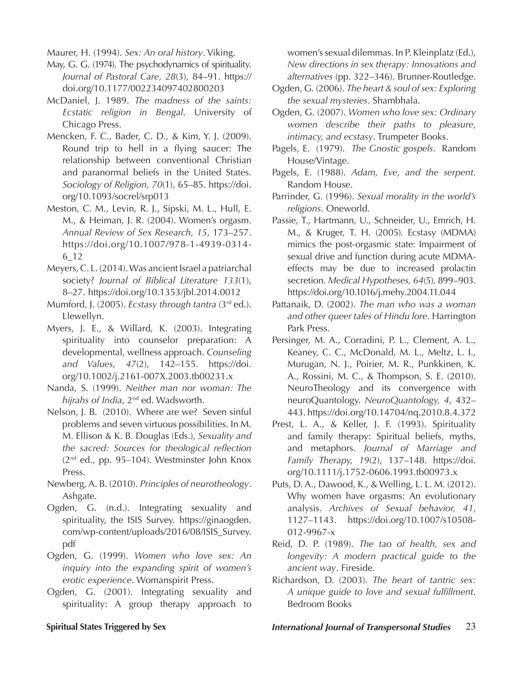Maurer, H. (1994). *Sex: An oral history*. Viking.

- May, G. G. (1974). The psychodynamics of spirituality. *Journal of Pastoral Care, 28*(3), 84–91. https:// doi.org/10.1177/002234097402800203
- McDaniel, J. 1989. *The madness of the saints: Ecstatic religion in Bengal*. University of Chicago Press.
- Mencken, F. C., Bader, C. D., & Kim, Y. J. (2009). Round trip to hell in a flying saucer: The relationship between conventional Christian and paranormal beliefs in the United States. *Sociology of Religion, 70*(1), 65–85. https://doi. org/10.1093/socrel/srp013
- Meston, C. M., Levin, R. J., Sipski, M. L., Hull, E. M., & Heiman, J. R. (2004). Women's orgasm. *Annual Review of Sex Research, 15*, 173–257. https://doi.org/10.1007/978-1-4939-0314- 6\_12
- Meyers, C. L. (2014). Was ancient Israel a patriarchal society? *Journal of Biblical Literature 133*(1), 8–27. https://doi.org/10.1353/jbl.2014.0012
- Mumford, J. (2005). *Ecstasy through tantra* (3rd ed.). Llewellyn.
- Myers, J. E., & Willard, K. (2003). Integrating spirituality into counselor preparation: A developmental, wellness approach. *Counseling and Values, 47*(2), 142–155. https://doi. org/10.1002/j.2161-007X.2003.tb00231.x
- Nanda, S. (1999). *Neither man nor woman: The hijrahs of India*, 2nd ed. Wadsworth.
- Nelson, J. B. (2010). Where are we? Seven sinful problems and seven virtuous possibilities. In M. M. Ellison & K. B. Douglas (Eds.), *Sexuality and the sacred: Sources for theological reflection*  (2nd ed., pp. 95–104). Westminster John Knox Press.
- Newberg, A. B. (2010). *Principles of neurotheology*. Ashgate.
- Ogden, G. (n.d.). Integrating sexuality and spirituality, the ISIS Survey. https://ginaogden. com/wp-content/uploads/2016/08/ISIS\_Survey. pdf
- Ogden, G. (1999). *Women who love sex: An inquiry into the expanding spirit of women's erotic experience*. Womanspirit Press.
- Ogden, G. (2001). Integrating sexuality and spirituality: A group therapy approach to

women's sexual dilemmas. In P. Kleinplatz (Ed.), *New directions in sex therapy: Innovations and alternatives* (pp. 322–346). Brunner-Routledge.

- Ogden, G. (2006). *The heart & soul of sex: Exploring the sexual mysteries*. Shambhala.
- Ogden, G. (2007). *Women who love sex: Ordinary women describe their paths to pleasure, intimacy, and ecstasy*. Trumpeter Books.
- Pagels, E. (1979). *The Gnostic gospels*. Random House/Vintage.
- Pagels, E. (1988). *Adam, Eve, and the serpent*. Random House.
- Parrinder, G. (1996). *Sexual morality in the world's religions*. Oneworld.
- Passie, T., Hartmann, U., Schneider, U., Emrich, H. M., & Kruger, T. H. (2005). Ecstasy (MDMA) mimics the post-orgasmic state: Impairment of sexual drive and function during acute MDMAeffects may be due to increased prolactin secretion. *Medical Hypotheses, 64*(5), 899–903. https://doi.org/10.1016/j.mehy.2004.11.044
- Pattanaik, D. (2002). *The man who was a woman and other queer tales of Hindu lore*. Harrington Park Press.
- Persinger, M. A., Corradini, P. L., Clement, A. L., Keaney, C. C., McDonald, M. L., Meltz, L. I., Murugan, N. J., Poirier, M. R., Punkkinen, K. A., Rossini, M. C., & Thompson, S. E. (2010). NeuroTheology and its convergence with neuroQuantology. *NeuroQuantology, 4*, 432– 443. https://doi.org/10.14704/nq.2010.8.4.372
- Prest, L. A., & Keller, J. F. (1993). Spirituality and family therapy: Spiritual beliefs, myths, and metaphors. *Journal of Marriage and Family Therapy, 19*(2), 137–148. https://doi. org/10.1111/j.1752-0606.1993.tb00973.x
- Puts, D. A., Dawood, K., & Welling, L. L. M. (2012). Why women have orgasms: An evolutionary analysis. *Archives of Sexual behavior, 41*, 1127–1143. https://doi.org/10.1007/s10508- 012-9967-x
- Reid, D. P. (1989). *The tao of health, sex and longevity: A modern practical guide to the ancient way*. Fireside.
- Richardson, D. (2003). *The heart of tantric sex: A unique guide to love and sexual fulfillment*. Bedroom Books

# **Spiritual States Triggered by Sex** *International Journal of Transpersonal Studies* 23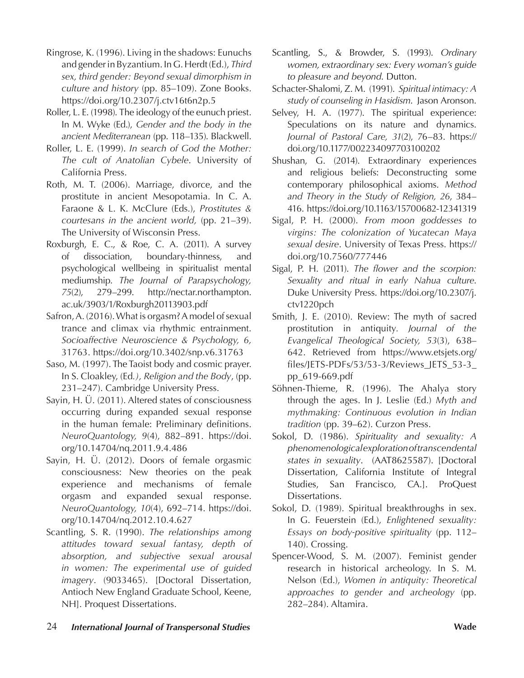- Ringrose, K. (1996). Living in the shadows: Eunuchs and gender in Byzantium. In G. Herdt (Ed.), *Third sex, third gender: Beyond sexual dimorphism in culture and history* (pp. 85–109). Zone Books. https://doi.org/10.2307/j.ctv16t6n2p.5
- Roller, L. E. (1998). The ideology of the eunuch priest. In M. Wyke (Ed.), *Gender and the body in the ancient Mediterranean* (pp. 118–135). Blackwell.
- Roller, L. E. (1999). *In search of God the Mother: The cult of Anatolian Cybele*. University of California Press.
- Roth, M. T. (2006). Marriage, divorce, and the prostitute in ancient Mesopotamia. In C. A. Faraone & L. K. McClure (Eds.), *Prostitutes & courtesans in the ancient world,* (pp. 21–39). The University of Wisconsin Press.
- Roxburgh, E. C., & Roe, C. A. (2011). A survey of dissociation, boundary-thinness, and psychological wellbeing in spiritualist mental mediumship. *The Journal of Parapsychology, 75*(2), 279–299. http://nectar.northampton. ac.uk/3903/1/Roxburgh20113903.pdf
- Safron, A. (2016). What is orgasm? A model of sexual trance and climax via rhythmic entrainment. *Socioaffective Neuroscience & Psychology, 6,* 31763. https://doi.org/10.3402/snp.v6.31763
- Saso, M. (1997). The Taoist body and cosmic prayer. In S. Cloakley, (Ed*.), Religion and the Body*, (pp. 231–247). Cambridge University Press.
- Sayin, H. Ü. (2011). Altered states of consciousness occurring during expanded sexual response in the human female: Preliminary definitions. *NeuroQuantology, 9*(4), 882–891. https://doi. org/10.14704/nq.2011.9.4.486
- Sayin, H. Ü. (2012). Doors of female orgasmic consciousness: New theories on the peak experience and mechanisms of female orgasm and expanded sexual response. *NeuroQuantology, 10*(4), 692–714. https://doi. org/10.14704/nq.2012.10.4.627
- Scantling, S. R. (1990). *The relationships among attitudes toward sexual fantasy, depth of absorption, and subjective sexual arousal in women: The experimental use of guided imagery*. (9033465). [Doctoral Dissertation, Antioch New England Graduate School, Keene, NH]. Proquest Dissertations.
- Scantling, S., & Browder, S. (1993). *Ordinary women, extraordinary sex: Every woman's guide to pleasure and beyond*. Dutton.
- Schacter-Shalomi, Z. M. (1991). *Spiritual intimacy: A study of counseling in Hasidism*. Jason Aronson.
- Selvey, H. A. (1977). The spiritual experience: Speculations on its nature and dynamics. *Journal of Pastoral Care, 31*(2), 76–83. https:// doi.org/10.1177/002234097703100202
- Shushan, G. (2014). Extraordinary experiences and religious beliefs: Deconstructing some contemporary philosophical axioms. *Method and Theory in the Study of Religion, 26*, 384– 416. https://doi.org/10.1163/15700682-12341319
- Sigal, P. H. (2000). *From moon goddesses to virgins: The colonization of Yucatecan Maya sexual desire*. University of Texas Press. https:// doi.org/10.7560/777446
- Sigal, P. H. (2011). *The flower and the scorpion: Sexuality and ritual in early Nahua culture*. Duke University Press. https://doi.org/10.2307/j. ctv1220pch
- Smith, J. E. (2010). Review: The myth of sacred prostitution in antiquity*. Journal of the Evangelical Theological Society, 53*(3), 638– 642. Retrieved from https://www.etsjets.org/ files/JETS-PDFs/53/53-3/Reviews\_JETS\_53-3\_ pp\_619-669.pdf
- Söhnen-Thieme, R. (1996). The Ahalya story through the ages. In J. Leslie (Ed.) *Myth and mythmaking: Continuous evolution in Indian tradition* (pp. 39–62). Curzon Press.
- Sokol, D. (1986). *Spirituality and sexuality: A phenomenological exploration of transcendental states in sexuality*. (AAT8625587). [Doctoral Dissertation, California Institute of Integral Studies, San Francisco, CA.]. ProQuest Dissertations.
- Sokol, D. (1989). Spiritual breakthroughs in sex. In G. Feuerstein (Ed.), *Enlightened sexuality: Essays on body-positive spirituality* (pp. 112– 140). Crossing.
- Spencer-Wood, S. M. (2007). Feminist gender research in historical archeology. In S. M. Nelson (Ed.), *Women in antiquity: Theoretical approaches to gender and archeology* (pp. 282–284). Altamira.
- 24 *International Journal of Transpersonal Studies* **Wade**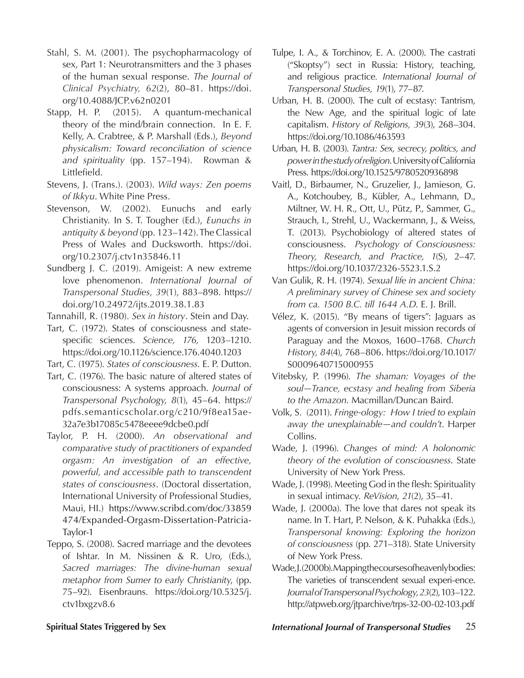- Stahl, S. M. (2001). The psychopharmacology of sex, Part 1: Neurotransmitters and the 3 phases of the human sexual response. *The Journal of Clinical Psychiatry, 62*(2), 80–81. https://doi. org/10.4088/JCP.v62n0201
- Stapp, H. P. (2015). A quantum-mechanical theory of the mind/brain connection. In E. F. Kelly, A. Crabtree, & P. Marshall (Eds.), *Beyond physicalism: Toward reconciliation of science and spirituality* (pp. 157–194). Rowman & Littlefield.
- Stevens, J. (Trans.). (2003). *Wild ways: Zen poems of Ikkyu*. White Pine Press.
- Stevenson, W. (2002). Eunuchs and early Christianity. In S. T. Tougher (Ed.), *Eunuchs in antiquity & beyond* (pp. 123–142). The Classical Press of Wales and Ducksworth. https://doi. org/10.2307/j.ctv1n35846.11
- Sundberg J. C. (2019). Amigeist: A new extreme love phenomenon. *International Journal of Transpersonal Studies, 39*(1), 883–898. https:// doi.org/10.24972/ijts.2019.38.1.83
- Tannahill, R. (1980). *Sex in history*. Stein and Day.
- Tart, C. (1972). States of consciousness and statespecific sciences. *Science, 176,* 1203–1210. https://doi.org/10.1126/science.176.4040.1203
- Tart, C. (1975). *States of consciousness*. E. P. Dutton.
- Tart, C. (1976). The basic nature of altered states of consciousness: A systems approach. *Journal of Transpersonal Psychology, 8*(1), 45–64. https:// pdfs.semanticscholar.org/c210/9f8ea15ae-32a7e3b17085c5478eeee9dcbe0.pdf
- Taylor, P. H. (2000). *An observational and comparative study of practitioners of expanded orgasm: An investigation of an effective, powerful, and accessible path to transcendent states of consciousness*. (Doctoral dissertation, International University of Professional Studies, Maui, HI.) https://www.scribd.com/doc/33859 474/Expanded-Orgasm-Dissertation-Patricia-Taylor-1
- Teppo, S. (2008). Sacred marriage and the devotees of Ishtar. In M. Nissinen & R. Uro, (Eds.), *Sacred marriages: The divine-human sexual metaphor from Sumer to early Christianity*, (pp. 75–92). Eisenbrauns. https://doi.org/10.5325/j. ctv1bxgzv8.6
- Tulpe, I. A., & Torchinov, E. A. (2000). The castrati ("Skoptsy") sect in Russia: History, teaching, and religious practice*. International Journal of Transpersonal Studies, 19*(1), 77–87.
- Urban, H. B. (2000). The cult of ecstasy: Tantrism, the New Age, and the spiritual logic of late capitalism. *History of Religions, 39*(3), 268–304. https://doi.org/10.1086/463593
- Urban, H. B. (2003). *Tantra: Sex, secrecy, politics, and power in the study of religion*. University of California Press. https://doi.org/10.1525/9780520936898
- Vaitl, D., Birbaumer, N., Gruzelier, J., Jamieson, G. A., Kotchoubey, B., Kübler, A., Lehmann, D., Miltner, W. H. R., Ott, U., Pütz, P., Sammer, G., Strauch, I., Strehl, U., Wackermann, J., & Weiss, T. (2013). Psychobiology of altered states of consciousness. *Psychology of Consciousness: Theory, Research, and Practice, 1*(S), 2–47. https://doi.org/10.1037/2326-5523.1.S.2
- Van Gulik, R. H. (1974). *Sexual life in ancient China: A preliminary survey of Chinese sex and society from ca. 1500 B.C. till 1644 A.D*. E. J. Brill.
- Vélez, K. (2015). "By means of tigers": Jaguars as agents of conversion in Jesuit mission records of Paraguay and the Moxos, 1600–1768. *Church History, 84*(4), 768–806. https://doi.org/10.1017/ S0009640715000955
- Vitebsky, P. (1996). *The shaman: Voyages of the soul—Trance, ecstasy and healing from Siberia to the Amazon*. Macmillan/Duncan Baird.
- Volk, S. (2011). *Fringe-ology: How I tried to explain away the unexplainable—and couldn't*. Harper Collins.
- Wade, J. (1996). *Changes of mind: A holonomic theory of the evolution of consciousness*. State University of New York Press.
- Wade, J. (1998). Meeting God in the flesh: Spirituality in sexual intimacy. *ReVision*, *21*(2), 35–41.
- Wade, J. (2000a). The love that dares not speak its name. In T. Hart, P. Nelson, & K. Puhakka (Eds.), *Transpersonal knowing: Exploring the horizon of consciousness* (pp. 271–318). State University of New York Press.
- Wade, J. (2000b). Mapping the courses of heavenly bodies: The varieties of transcendent sexual experi-ence. *Journal of Transpersonal Psychology, 23*(2), 103–122. http://atpweb.org/jtparchive/trps-32-00-02-103.pdf